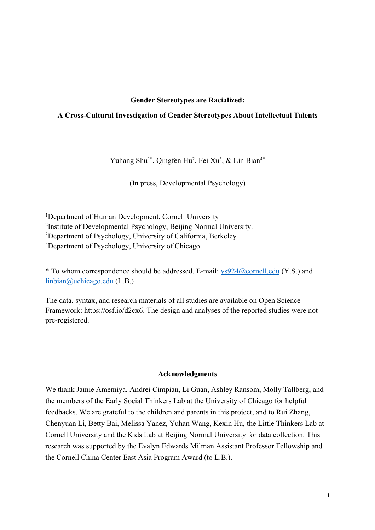## **Gender Stereotypes are Racialized:**

# **A Cross-Cultural Investigation of Gender Stereotypes About Intellectual Talents**

Yuhang Shu<sup>1\*</sup>, Qingfen Hu<sup>2</sup>, Fei Xu<sup>3</sup>, & Lin Bian<sup>4\*</sup>

(In press, Developmental Psychology)

<sup>1</sup>Department of Human Development, Cornell University 2 Institute of Developmental Psychology, Beijing Normal University. <sup>3</sup>Department of Psychology, University of California, Berkeley 4 Department of Psychology, University of Chicago

\* To whom correspondence should be addressed. E-mail:  $ys924@correll.edu$  (Y.S.) and linbian@uchicago.edu (L.B.)

The data, syntax, and research materials of all studies are available on Open Science Framework: https://osf.io/d2cx6. The design and analyses of the reported studies were not pre-registered.

#### **Acknowledgments**

We thank Jamie Amemiya, Andrei Cimpian, Li Guan, Ashley Ransom, Molly Tallberg, and the members of the Early Social Thinkers Lab at the University of Chicago for helpful feedbacks. We are grateful to the children and parents in this project, and to Rui Zhang, Chenyuan Li, Betty Bai, Melissa Yanez, Yuhan Wang, Kexin Hu, the Little Thinkers Lab at Cornell University and the Kids Lab at Beijing Normal University for data collection. This research was supported by the Evalyn Edwards Milman Assistant Professor Fellowship and the Cornell China Center East Asia Program Award (to L.B.).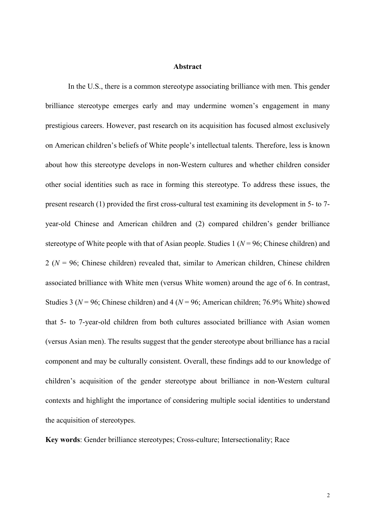### **Abstract**

In the U.S., there is a common stereotype associating brilliance with men. This gender brilliance stereotype emerges early and may undermine women's engagement in many prestigious careers. However, past research on its acquisition has focused almost exclusively on American children's beliefs of White people's intellectual talents. Therefore, less is known about how this stereotype develops in non-Western cultures and whether children consider other social identities such as race in forming this stereotype. To address these issues, the present research (1) provided the first cross-cultural test examining its development in 5- to 7 year-old Chinese and American children and (2) compared children's gender brilliance stereotype of White people with that of Asian people. Studies 1 (*N* = 96; Chinese children) and 2 (*N* = 96; Chinese children) revealed that, similar to American children, Chinese children associated brilliance with White men (versus White women) around the age of 6. In contrast, Studies 3 (*N* = 96; Chinese children) and 4 (*N* = 96; American children; 76.9% White) showed that 5- to 7-year-old children from both cultures associated brilliance with Asian women (versus Asian men). The results suggest that the gender stereotype about brilliance has a racial component and may be culturally consistent. Overall, these findings add to our knowledge of children's acquisition of the gender stereotype about brilliance in non-Western cultural contexts and highlight the importance of considering multiple social identities to understand the acquisition of stereotypes.

**Key words**: Gender brilliance stereotypes; Cross-culture; Intersectionality; Race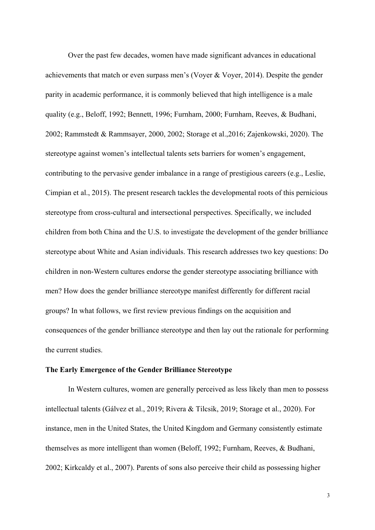Over the past few decades, women have made significant advances in educational achievements that match or even surpass men's (Voyer & Voyer, 2014). Despite the gender parity in academic performance, it is commonly believed that high intelligence is a male quality (e.g., Beloff, 1992; Bennett, 1996; Furnham, 2000; Furnham, Reeves, & Budhani, 2002; Rammstedt & Rammsayer, 2000, 2002; Storage et al.,2016; Zajenkowski, 2020). The stereotype against women's intellectual talents sets barriers for women's engagement, contributing to the pervasive gender imbalance in a range of prestigious careers (e.g., Leslie, Cimpian et al., 2015). The present research tackles the developmental roots of this pernicious stereotype from cross-cultural and intersectional perspectives. Specifically, we included children from both China and the U.S. to investigate the development of the gender brilliance stereotype about White and Asian individuals. This research addresses two key questions: Do children in non-Western cultures endorse the gender stereotype associating brilliance with men? How does the gender brilliance stereotype manifest differently for different racial groups? In what follows, we first review previous findings on the acquisition and consequences of the gender brilliance stereotype and then lay out the rationale for performing the current studies.

### **The Early Emergence of the Gender Brilliance Stereotype**

In Western cultures, women are generally perceived as less likely than men to possess intellectual talents (Gálvez et al., 2019; Rivera & Tilcsik, 2019; Storage et al., 2020). For instance, men in the United States, the United Kingdom and Germany consistently estimate themselves as more intelligent than women (Beloff, 1992; Furnham, Reeves, & Budhani, 2002; Kirkcaldy et al., 2007). Parents of sons also perceive their child as possessing higher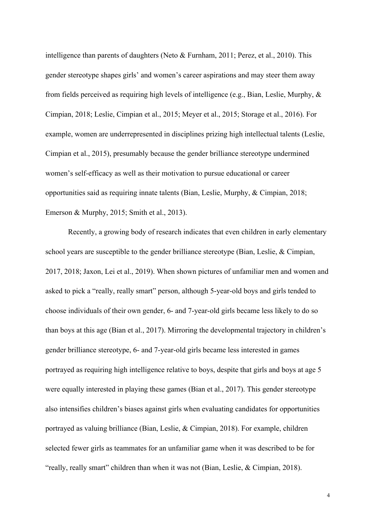intelligence than parents of daughters (Neto & Furnham, 2011; Perez, et al., 2010). This gender stereotype shapes girls' and women's career aspirations and may steer them away from fields perceived as requiring high levels of intelligence (e.g., Bian, Leslie, Murphy, & Cimpian, 2018; Leslie, Cimpian et al., 2015; Meyer et al., 2015; Storage et al., 2016). For example, women are underrepresented in disciplines prizing high intellectual talents (Leslie, Cimpian et al., 2015), presumably because the gender brilliance stereotype undermined women's self-efficacy as well as their motivation to pursue educational or career opportunities said as requiring innate talents (Bian, Leslie, Murphy, & Cimpian, 2018; Emerson & Murphy, 2015; Smith et al., 2013).

Recently, a growing body of research indicates that even children in early elementary school years are susceptible to the gender brilliance stereotype (Bian, Leslie, & Cimpian, 2017, 2018; Jaxon, Lei et al., 2019). When shown pictures of unfamiliar men and women and asked to pick a "really, really smart" person, although 5-year-old boys and girls tended to choose individuals of their own gender, 6- and 7-year-old girls became less likely to do so than boys at this age (Bian et al., 2017). Mirroring the developmental trajectory in children's gender brilliance stereotype, 6- and 7-year-old girls became less interested in games portrayed as requiring high intelligence relative to boys, despite that girls and boys at age 5 were equally interested in playing these games (Bian et al., 2017). This gender stereotype also intensifies children's biases against girls when evaluating candidates for opportunities portrayed as valuing brilliance (Bian, Leslie, & Cimpian, 2018). For example, children selected fewer girls as teammates for an unfamiliar game when it was described to be for "really, really smart" children than when it was not (Bian, Leslie, & Cimpian, 2018).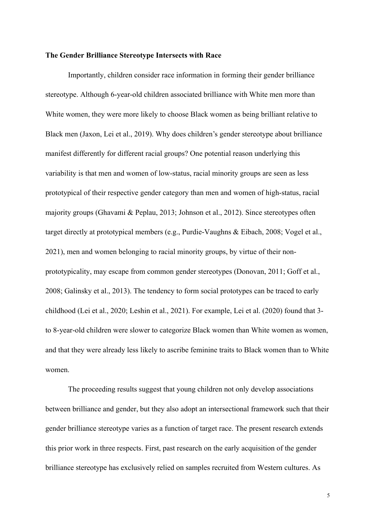# **The Gender Brilliance Stereotype Intersects with Race**

Importantly, children consider race information in forming their gender brilliance stereotype. Although 6-year-old children associated brilliance with White men more than White women, they were more likely to choose Black women as being brilliant relative to Black men (Jaxon, Lei et al., 2019). Why does children's gender stereotype about brilliance manifest differently for different racial groups? One potential reason underlying this variability is that men and women of low-status, racial minority groups are seen as less prototypical of their respective gender category than men and women of high-status, racial majority groups (Ghavami & Peplau, 2013; Johnson et al., 2012). Since stereotypes often target directly at prototypical members (e.g., Purdie-Vaughns & Eibach, 2008; Vogel et al., 2021), men and women belonging to racial minority groups, by virtue of their nonprototypicality, may escape from common gender stereotypes (Donovan, 2011; Goff et al., 2008; Galinsky et al., 2013). The tendency to form social prototypes can be traced to early childhood (Lei et al., 2020; Leshin et al., 2021). For example, Lei et al. (2020) found that 3 to 8-year-old children were slower to categorize Black women than White women as women, and that they were already less likely to ascribe feminine traits to Black women than to White women.

The proceeding results suggest that young children not only develop associations between brilliance and gender, but they also adopt an intersectional framework such that their gender brilliance stereotype varies as a function of target race. The present research extends this prior work in three respects. First, past research on the early acquisition of the gender brilliance stereotype has exclusively relied on samples recruited from Western cultures. As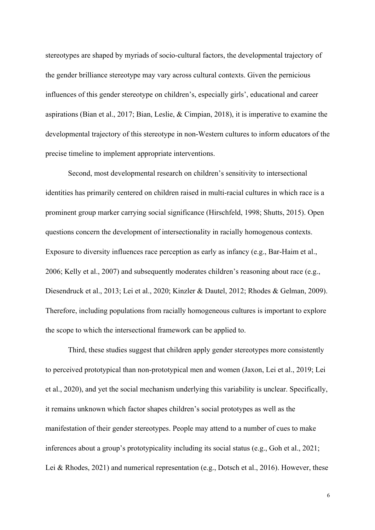stereotypes are shaped by myriads of socio-cultural factors, the developmental trajectory of the gender brilliance stereotype may vary across cultural contexts. Given the pernicious influences of this gender stereotype on children's, especially girls', educational and career aspirations (Bian et al., 2017; Bian, Leslie, & Cimpian, 2018), it is imperative to examine the developmental trajectory of this stereotype in non-Western cultures to inform educators of the precise timeline to implement appropriate interventions.

Second, most developmental research on children's sensitivity to intersectional identities has primarily centered on children raised in multi-racial cultures in which race is a prominent group marker carrying social significance (Hirschfeld, 1998; Shutts, 2015). Open questions concern the development of intersectionality in racially homogenous contexts. Exposure to diversity influences race perception as early as infancy (e.g., Bar-Haim et al., 2006; Kelly et al., 2007) and subsequently moderates children's reasoning about race (e.g., Diesendruck et al., 2013; Lei et al., 2020; Kinzler & Dautel, 2012; Rhodes & Gelman, 2009). Therefore, including populations from racially homogeneous cultures is important to explore the scope to which the intersectional framework can be applied to.

Third, these studies suggest that children apply gender stereotypes more consistently to perceived prototypical than non-prototypical men and women (Jaxon, Lei et al., 2019; Lei et al., 2020), and yet the social mechanism underlying this variability is unclear. Specifically, it remains unknown which factor shapes children's social prototypes as well as the manifestation of their gender stereotypes. People may attend to a number of cues to make inferences about a group's prototypicality including its social status (e.g., Goh et al., 2021; Lei & Rhodes, 2021) and numerical representation (e.g., Dotsch et al., 2016). However, these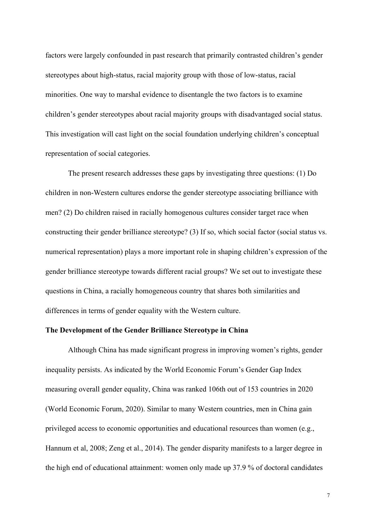factors were largely confounded in past research that primarily contrasted children's gender stereotypes about high-status, racial majority group with those of low-status, racial minorities. One way to marshal evidence to disentangle the two factors is to examine children's gender stereotypes about racial majority groups with disadvantaged social status. This investigation will cast light on the social foundation underlying children's conceptual representation of social categories.

The present research addresses these gaps by investigating three questions: (1) Do children in non-Western cultures endorse the gender stereotype associating brilliance with men? (2) Do children raised in racially homogenous cultures consider target race when constructing their gender brilliance stereotype? (3) If so, which social factor (social status vs. numerical representation) plays a more important role in shaping children's expression of the gender brilliance stereotype towards different racial groups? We set out to investigate these questions in China, a racially homogeneous country that shares both similarities and differences in terms of gender equality with the Western culture.

## **The Development of the Gender Brilliance Stereotype in China**

Although China has made significant progress in improving women's rights, gender inequality persists. As indicated by the World Economic Forum's Gender Gap Index measuring overall gender equality, China was ranked 106th out of 153 countries in 2020 (World Economic Forum, 2020). Similar to many Western countries, men in China gain privileged access to economic opportunities and educational resources than women (e.g., Hannum et al, 2008; Zeng et al., 2014). The gender disparity manifests to a larger degree in the high end of educational attainment: women only made up 37.9 % of doctoral candidates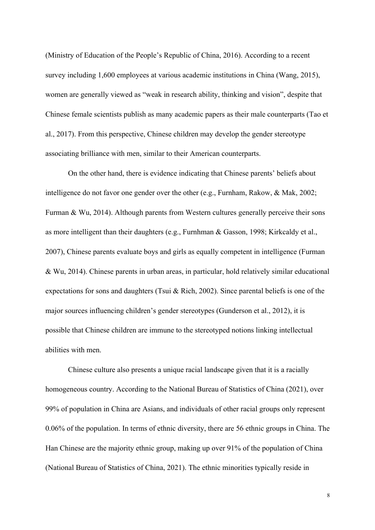(Ministry of Education of the People's Republic of China, 2016). According to a recent survey including 1,600 employees at various academic institutions in China (Wang, 2015), women are generally viewed as "weak in research ability, thinking and vision", despite that Chinese female scientists publish as many academic papers as their male counterparts (Tao et al., 2017). From this perspective, Chinese children may develop the gender stereotype associating brilliance with men, similar to their American counterparts.

On the other hand, there is evidence indicating that Chinese parents' beliefs about intelligence do not favor one gender over the other (e.g., Furnham, Rakow, & Mak, 2002; Furman & Wu, 2014). Although parents from Western cultures generally perceive their sons as more intelligent than their daughters (e.g., Furnhman & Gasson, 1998; Kirkcaldy et al., 2007), Chinese parents evaluate boys and girls as equally competent in intelligence (Furman & Wu, 2014). Chinese parents in urban areas, in particular, hold relatively similar educational expectations for sons and daughters (Tsui & Rich, 2002). Since parental beliefs is one of the major sources influencing children's gender stereotypes (Gunderson et al., 2012), it is possible that Chinese children are immune to the stereotyped notions linking intellectual abilities with men.

Chinese culture also presents a unique racial landscape given that it is a racially homogeneous country. According to the National Bureau of Statistics of China (2021), over 99% of population in China are Asians, and individuals of other racial groups only represent 0.06% of the population. In terms of ethnic diversity, there are 56 ethnic groups in China. The Han Chinese are the majority ethnic group, making up over 91% of the population of China (National Bureau of Statistics of China, 2021). The ethnic minorities typically reside in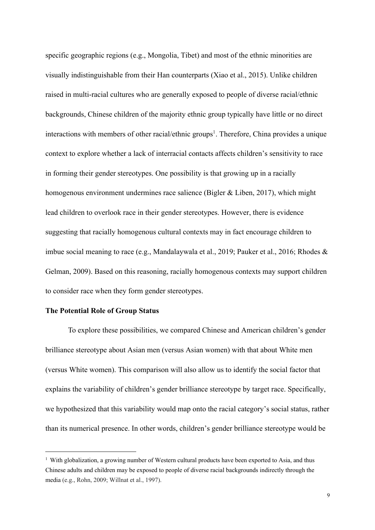specific geographic regions (e.g., Mongolia, Tibet) and most of the ethnic minorities are visually indistinguishable from their Han counterparts (Xiao et al., 2015). Unlike children raised in multi-racial cultures who are generally exposed to people of diverse racial/ethnic backgrounds, Chinese children of the majority ethnic group typically have little or no direct interactions with members of other racial/ethnic groups<sup>1</sup>. Therefore, China provides a unique context to explore whether a lack of interracial contacts affects children's sensitivity to race in forming their gender stereotypes. One possibility is that growing up in a racially homogenous environment undermines race salience (Bigler & Liben, 2017), which might lead children to overlook race in their gender stereotypes. However, there is evidence suggesting that racially homogenous cultural contexts may in fact encourage children to imbue social meaning to race (e.g., Mandalaywala et al., 2019; Pauker et al., 2016; Rhodes & Gelman, 2009). Based on this reasoning, racially homogenous contexts may support children to consider race when they form gender stereotypes.

## **The Potential Role of Group Status**

To explore these possibilities, we compared Chinese and American children's gender brilliance stereotype about Asian men (versus Asian women) with that about White men (versus White women). This comparison will also allow us to identify the social factor that explains the variability of children's gender brilliance stereotype by target race. Specifically, we hypothesized that this variability would map onto the racial category's social status, rather than its numerical presence. In other words, children's gender brilliance stereotype would be

<sup>&</sup>lt;sup>1</sup> With globalization, a growing number of Western cultural products have been exported to Asia, and thus Chinese adults and children may be exposed to people of diverse racial backgrounds indirectly through the media (e.g., Rohn, 2009; Willnat et al., 1997).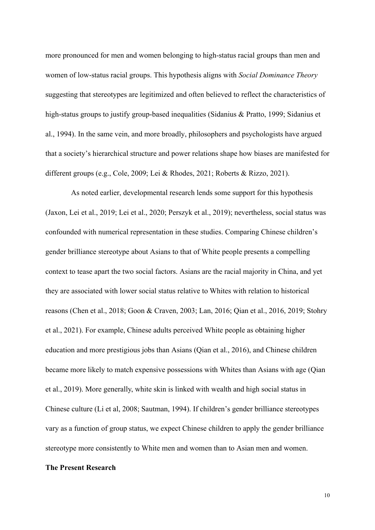more pronounced for men and women belonging to high-status racial groups than men and women of low-status racial groups. This hypothesis aligns with *Social Dominance Theory* suggesting that stereotypes are legitimized and often believed to reflect the characteristics of high-status groups to justify group-based inequalities (Sidanius & Pratto, 1999; Sidanius et al., 1994). In the same vein, and more broadly, philosophers and psychologists have argued that a society's hierarchical structure and power relations shape how biases are manifested for different groups (e.g., Cole, 2009; Lei & Rhodes, 2021; Roberts & Rizzo, 2021).

As noted earlier, developmental research lends some support for this hypothesis (Jaxon, Lei et al., 2019; Lei et al., 2020; Perszyk et al., 2019); nevertheless, social status was confounded with numerical representation in these studies. Comparing Chinese children's gender brilliance stereotype about Asians to that of White people presents a compelling context to tease apart the two social factors. Asians are the racial majority in China, and yet they are associated with lower social status relative to Whites with relation to historical reasons (Chen et al., 2018; Goon & Craven, 2003; Lan, 2016; Qian et al., 2016, 2019; Stohry et al., 2021). For example, Chinese adults perceived White people as obtaining higher education and more prestigious jobs than Asians (Qian et al., 2016), and Chinese children became more likely to match expensive possessions with Whites than Asians with age (Qian et al., 2019). More generally, white skin is linked with wealth and high social status in Chinese culture (Li et al, 2008; Sautman, 1994). If children's gender brilliance stereotypes vary as a function of group status, we expect Chinese children to apply the gender brilliance stereotype more consistently to White men and women than to Asian men and women.

# **The Present Research**

10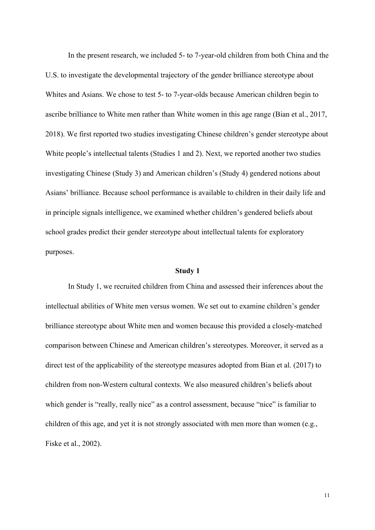In the present research, we included 5- to 7-year-old children from both China and the U.S. to investigate the developmental trajectory of the gender brilliance stereotype about Whites and Asians. We chose to test 5- to 7-year-olds because American children begin to ascribe brilliance to White men rather than White women in this age range (Bian et al., 2017, 2018). We first reported two studies investigating Chinese children's gender stereotype about White people's intellectual talents (Studies 1 and 2). Next, we reported another two studies investigating Chinese (Study 3) and American children's (Study 4) gendered notions about Asians' brilliance. Because school performance is available to children in their daily life and in principle signals intelligence, we examined whether children's gendered beliefs about school grades predict their gender stereotype about intellectual talents for exploratory purposes.

#### **Study 1**

In Study 1, we recruited children from China and assessed their inferences about the intellectual abilities of White men versus women. We set out to examine children's gender brilliance stereotype about White men and women because this provided a closely-matched comparison between Chinese and American children's stereotypes. Moreover, it served as a direct test of the applicability of the stereotype measures adopted from Bian et al. (2017) to children from non-Western cultural contexts. We also measured children's beliefs about which gender is "really, really nice" as a control assessment, because "nice" is familiar to children of this age, and yet it is not strongly associated with men more than women (e.g., Fiske et al., 2002).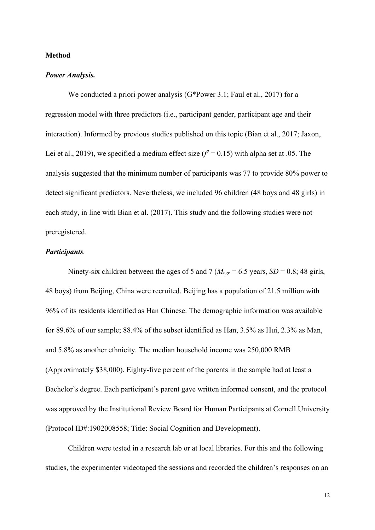# **Method**

## *Power Analysis.*

We conducted a priori power analysis (G\*Power 3.1; Faul et al., 2017) for a regression model with three predictors (i.e., participant gender, participant age and their interaction). Informed by previous studies published on this topic (Bian et al., 2017; Jaxon, Lei et al., 2019), we specified a medium effect size  $(f^2 = 0.15)$  with alpha set at .05. The analysis suggested that the minimum number of participants was 77 to provide 80% power to detect significant predictors. Nevertheless, we included 96 children (48 boys and 48 girls) in each study, in line with Bian et al. (2017). This study and the following studies were not preregistered.

# *Participants.*

Ninety-six children between the ages of 5 and 7 ( $M<sub>age</sub> = 6.5$  years,  $SD = 0.8$ ; 48 girls, 48 boys) from Beijing, China were recruited. Beijing has a population of 21.5 million with 96% of its residents identified as Han Chinese. The demographic information was available for 89.6% of our sample; 88.4% of the subset identified as Han, 3.5% as Hui, 2.3% as Man, and 5.8% as another ethnicity. The median household income was 250,000 RMB (Approximately \$38,000). Eighty-five percent of the parents in the sample had at least a Bachelor's degree. Each participant's parent gave written informed consent, and the protocol was approved by the Institutional Review Board for Human Participants at Cornell University (Protocol ID#:1902008558; Title: Social Cognition and Development).

Children were tested in a research lab or at local libraries. For this and the following studies, the experimenter videotaped the sessions and recorded the children's responses on an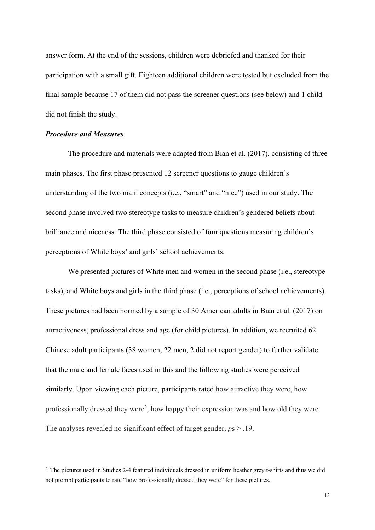answer form. At the end of the sessions, children were debriefed and thanked for their participation with a small gift. Eighteen additional children were tested but excluded from the final sample because 17 of them did not pass the screener questions (see below) and 1 child did not finish the study.

# *Procedure and Measures.*

The procedure and materials were adapted from Bian et al. (2017), consisting of three main phases. The first phase presented 12 screener questions to gauge children's understanding of the two main concepts (i.e., "smart" and "nice") used in our study. The second phase involved two stereotype tasks to measure children's gendered beliefs about brilliance and niceness. The third phase consisted of four questions measuring children's perceptions of White boys' and girls' school achievements.

We presented pictures of White men and women in the second phase (i.e., stereotype tasks), and White boys and girls in the third phase (i.e., perceptions of school achievements). These pictures had been normed by a sample of 30 American adults in Bian et al. (2017) on attractiveness, professional dress and age (for child pictures). In addition, we recruited 62 Chinese adult participants (38 women, 22 men, 2 did not report gender) to further validate that the male and female faces used in this and the following studies were perceived similarly. Upon viewing each picture, participants rated how attractive they were, how professionally dressed they were<sup>2</sup>, how happy their expression was and how old they were. The analyses revealed no significant effect of target gender, *p*s > .19.

<sup>2</sup> The pictures used in Studies 2-4 featured individuals dressed in uniform heather grey t-shirts and thus we did not prompt participants to rate "how professionally dressed they were" for these pictures.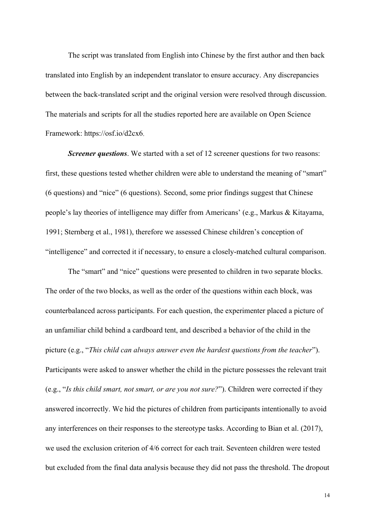The script was translated from English into Chinese by the first author and then back translated into English by an independent translator to ensure accuracy. Any discrepancies between the back-translated script and the original version were resolved through discussion. The materials and scripts for all the studies reported here are available on Open Science Framework: https://osf.io/d2cx6.

**Screener questions**. We started with a set of 12 screener questions for two reasons: first, these questions tested whether children were able to understand the meaning of "smart" (6 questions) and "nice" (6 questions). Second, some prior findings suggest that Chinese people's lay theories of intelligence may differ from Americans' (e.g., Markus & Kitayama, 1991; Sternberg et al., 1981), therefore we assessed Chinese children's conception of "intelligence" and corrected it if necessary, to ensure a closely-matched cultural comparison.

The "smart" and "nice" questions were presented to children in two separate blocks. The order of the two blocks, as well as the order of the questions within each block, was counterbalanced across participants. For each question, the experimenter placed a picture of an unfamiliar child behind a cardboard tent, and described a behavior of the child in the picture (e.g., "*This child can always answer even the hardest questions from the teacher*"). Participants were asked to answer whether the child in the picture possesses the relevant trait (e.g., "*Is this child smart, not smart, or are you not sure?*"). Children were corrected if they answered incorrectly. We hid the pictures of children from participants intentionally to avoid any interferences on their responses to the stereotype tasks. According to Bian et al. (2017), we used the exclusion criterion of 4/6 correct for each trait. Seventeen children were tested but excluded from the final data analysis because they did not pass the threshold. The dropout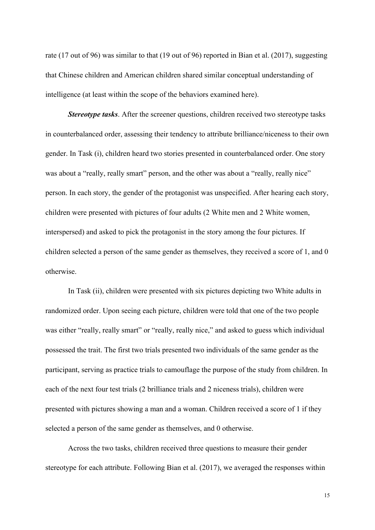rate (17 out of 96) was similar to that (19 out of 96) reported in Bian et al. (2017), suggesting that Chinese children and American children shared similar conceptual understanding of intelligence (at least within the scope of the behaviors examined here).

*Stereotype tasks*. After the screener questions, children received two stereotype tasks in counterbalanced order, assessing their tendency to attribute brilliance/niceness to their own gender. In Task (i), children heard two stories presented in counterbalanced order. One story was about a "really, really smart" person, and the other was about a "really, really nice" person. In each story, the gender of the protagonist was unspecified. After hearing each story, children were presented with pictures of four adults (2 White men and 2 White women, interspersed) and asked to pick the protagonist in the story among the four pictures. If children selected a person of the same gender as themselves, they received a score of 1, and 0 otherwise.

In Task (ii), children were presented with six pictures depicting two White adults in randomized order. Upon seeing each picture, children were told that one of the two people was either "really, really smart" or "really, really nice," and asked to guess which individual possessed the trait. The first two trials presented two individuals of the same gender as the participant, serving as practice trials to camouflage the purpose of the study from children. In each of the next four test trials (2 brilliance trials and 2 niceness trials), children were presented with pictures showing a man and a woman. Children received a score of 1 if they selected a person of the same gender as themselves, and 0 otherwise.

Across the two tasks, children received three questions to measure their gender stereotype for each attribute. Following Bian et al. (2017), we averaged the responses within

15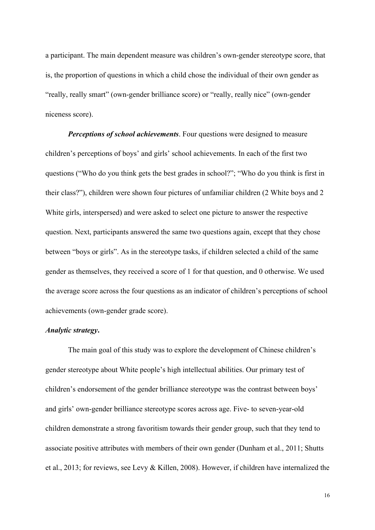a participant. The main dependent measure was children's own-gender stereotype score, that is, the proportion of questions in which a child chose the individual of their own gender as "really, really smart" (own-gender brilliance score) or "really, really nice" (own-gender niceness score).

*Perceptions of school achievements*. Four questions were designed to measure children's perceptions of boys' and girls' school achievements. In each of the first two questions ("Who do you think gets the best grades in school?"; "Who do you think is first in their class?"), children were shown four pictures of unfamiliar children (2 White boys and 2 White girls, interspersed) and were asked to select one picture to answer the respective question. Next, participants answered the same two questions again, except that they chose between "boys or girls". As in the stereotype tasks, if children selected a child of the same gender as themselves, they received a score of 1 for that question, and 0 otherwise. We used the average score across the four questions as an indicator of children's perceptions of school achievements (own-gender grade score).

# *Analytic strategy***.**

The main goal of this study was to explore the development of Chinese children's gender stereotype about White people's high intellectual abilities. Our primary test of children's endorsement of the gender brilliance stereotype was the contrast between boys' and girls' own-gender brilliance stereotype scores across age. Five- to seven-year-old children demonstrate a strong favoritism towards their gender group, such that they tend to associate positive attributes with members of their own gender (Dunham et al., 2011; Shutts et al., 2013; for reviews, see Levy & Killen, 2008). However, if children have internalized the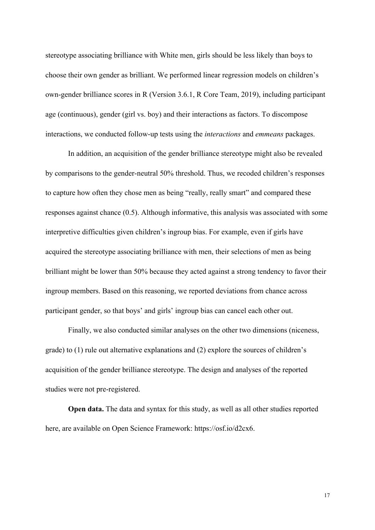stereotype associating brilliance with White men, girls should be less likely than boys to choose their own gender as brilliant. We performed linear regression models on children's own-gender brilliance scores in R (Version 3.6.1, R Core Team, 2019), including participant age (continuous), gender (girl vs. boy) and their interactions as factors. To discompose interactions, we conducted follow-up tests using the *interactions* and *emmeans* packages.

In addition, an acquisition of the gender brilliance stereotype might also be revealed by comparisons to the gender-neutral 50% threshold. Thus, we recoded children's responses to capture how often they chose men as being "really, really smart" and compared these responses against chance (0.5). Although informative, this analysis was associated with some interpretive difficulties given children's ingroup bias. For example, even if girls have acquired the stereotype associating brilliance with men, their selections of men as being brilliant might be lower than 50% because they acted against a strong tendency to favor their ingroup members. Based on this reasoning, we reported deviations from chance across participant gender, so that boys' and girls' ingroup bias can cancel each other out.

Finally, we also conducted similar analyses on the other two dimensions (niceness, grade) to (1) rule out alternative explanations and (2) explore the sources of children's acquisition of the gender brilliance stereotype. The design and analyses of the reported studies were not pre-registered.

**Open data.** The data and syntax for this study, as well as all other studies reported here, are available on Open Science Framework: https://osf.io/d2cx6.

17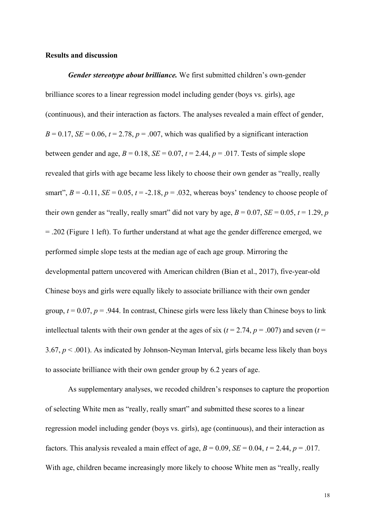## **Results and discussion**

*Gender stereotype about brilliance.* We first submitted children's own-gender brilliance scores to a linear regression model including gender (boys vs. girls), age (continuous), and their interaction as factors. The analyses revealed a main effect of gender,  $B = 0.17$ , *SE* = 0.06,  $t = 2.78$ ,  $p = .007$ , which was qualified by a significant interaction between gender and age,  $B = 0.18$ ,  $SE = 0.07$ ,  $t = 2.44$ ,  $p = .017$ . Tests of simple slope revealed that girls with age became less likely to choose their own gender as "really, really smart",  $B = -0.11$ ,  $SE = 0.05$ ,  $t = -2.18$ ,  $p = .032$ , whereas boys' tendency to choose people of their own gender as "really, really smart" did not vary by age,  $B = 0.07$ ,  $SE = 0.05$ ,  $t = 1.29$ , *p* = .202 (Figure 1 left). To further understand at what age the gender difference emerged, we performed simple slope tests at the median age of each age group. Mirroring the developmental pattern uncovered with American children (Bian et al., 2017), five-year-old Chinese boys and girls were equally likely to associate brilliance with their own gender group,  $t = 0.07$ ,  $p = 0.944$ . In contrast, Chinese girls were less likely than Chinese boys to link intellectual talents with their own gender at the ages of six ( $t = 2.74$ ,  $p = .007$ ) and seven ( $t =$ 3.67, *p* < .001). As indicated by Johnson-Neyman Interval, girls became less likely than boys to associate brilliance with their own gender group by 6.2 years of age.

As supplementary analyses, we recoded children's responses to capture the proportion of selecting White men as "really, really smart" and submitted these scores to a linear regression model including gender (boys vs. girls), age (continuous), and their interaction as factors. This analysis revealed a main effect of age,  $B = 0.09$ ,  $SE = 0.04$ ,  $t = 2.44$ ,  $p = .017$ . With age, children became increasingly more likely to choose White men as "really, really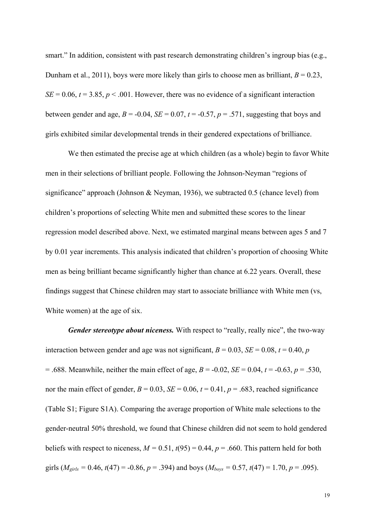smart." In addition, consistent with past research demonstrating children's ingroup bias (e.g., Dunham et al., 2011), boys were more likely than girls to choose men as brilliant,  $B = 0.23$ ,  $SE = 0.06$ ,  $t = 3.85$ ,  $p < .001$ . However, there was no evidence of a significant interaction between gender and age,  $B = -0.04$ ,  $SE = 0.07$ ,  $t = -0.57$ ,  $p = .571$ , suggesting that boys and girls exhibited similar developmental trends in their gendered expectations of brilliance.

We then estimated the precise age at which children (as a whole) begin to favor White men in their selections of brilliant people. Following the Johnson-Neyman "regions of significance" approach (Johnson & Neyman, 1936), we subtracted 0.5 (chance level) from children's proportions of selecting White men and submitted these scores to the linear regression model described above. Next, we estimated marginal means between ages 5 and 7 by 0.01 year increments. This analysis indicated that children's proportion of choosing White men as being brilliant became significantly higher than chance at 6.22 years. Overall, these findings suggest that Chinese children may start to associate brilliance with White men (vs, White women) at the age of six.

*Gender stereotype about niceness.* With respect to "really, really nice", the two-way interaction between gender and age was not significant,  $B = 0.03$ ,  $SE = 0.08$ ,  $t = 0.40$ ,  $p$  $= .688$ . Meanwhile, neither the main effect of age,  $B = -0.02$ ,  $SE = 0.04$ ,  $t = -0.63$ ,  $p = .530$ , nor the main effect of gender,  $B = 0.03$ ,  $SE = 0.06$ ,  $t = 0.41$ ,  $p = .683$ , reached significance (Table S1; Figure S1A). Comparing the average proportion of White male selections to the gender-neutral 50% threshold, we found that Chinese children did not seem to hold gendered beliefs with respect to niceness,  $M = 0.51$ ,  $t(95) = 0.44$ ,  $p = .660$ . This pattern held for both girls ( $M_{\text{girls}} = 0.46$ ,  $t(47) = -0.86$ ,  $p = .394$ ) and boys ( $M_{\text{boys}} = 0.57$ ,  $t(47) = 1.70$ ,  $p = .095$ ).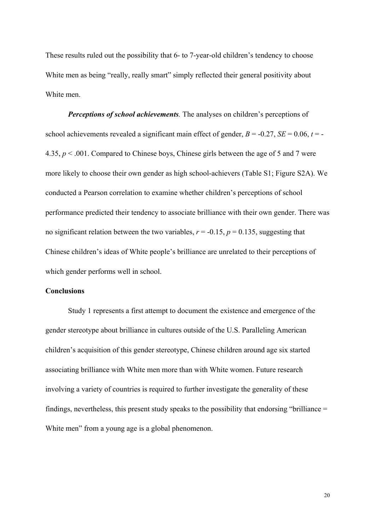These results ruled out the possibility that 6- to 7-year-old children's tendency to choose White men as being "really, really smart" simply reflected their general positivity about White men.

*Perceptions of school achievements*. The analyses on children's perceptions of school achievements revealed a significant main effect of gender,  $B = -0.27$ ,  $SE = 0.06$ ,  $t = -1$ 4.35, *p* < .001. Compared to Chinese boys, Chinese girls between the age of 5 and 7 were more likely to choose their own gender as high school-achievers (Table S1; Figure S2A). We conducted a Pearson correlation to examine whether children's perceptions of school performance predicted their tendency to associate brilliance with their own gender. There was no significant relation between the two variables,  $r = -0.15$ ,  $p = 0.135$ , suggesting that Chinese children's ideas of White people's brilliance are unrelated to their perceptions of which gender performs well in school.

# **Conclusions**

Study 1 represents a first attempt to document the existence and emergence of the gender stereotype about brilliance in cultures outside of the U.S. Paralleling American children's acquisition of this gender stereotype, Chinese children around age six started associating brilliance with White men more than with White women. Future research involving a variety of countries is required to further investigate the generality of these findings, nevertheless, this present study speaks to the possibility that endorsing "brilliance = White men" from a young age is a global phenomenon.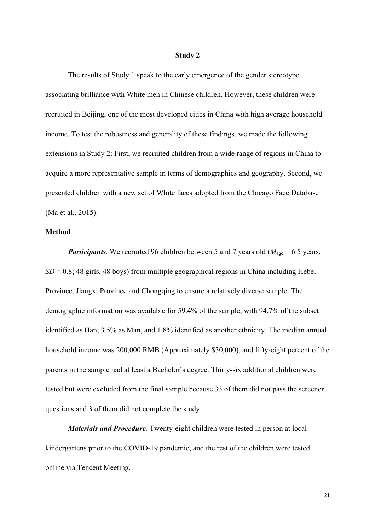#### **Study 2**

The results of Study 1 speak to the early emergence of the gender stereotype associating brilliance with White men in Chinese children. However, these children were recruited in Beijing, one of the most developed cities in China with high average household income. To test the robustness and generality of these findings, we made the following extensions in Study 2: First, we recruited children from a wide range of regions in China to acquire a more representative sample in terms of demographics and geography. Second, we presented children with a new set of White faces adopted from the Chicago Face Database (Ma et al., 2015).

## **Method**

*Participants*. We recruited 96 children between 5 and 7 years old ( $M_{\text{age}} = 6.5$  years,  $SD = 0.8$ ; 48 girls, 48 boys) from multiple geographical regions in China including Hebei Province, Jiangxi Province and Chongqing to ensure a relatively diverse sample. The demographic information was available for 59.4% of the sample, with 94.7% of the subset identified as Han, 3.5% as Man, and 1.8% identified as another ethnicity. The median annual household income was 200,000 RMB (Approximately \$30,000), and fifty-eight percent of the parents in the sample had at least a Bachelor's degree. Thirty-six additional children were tested but were excluded from the final sample because 33 of them did not pass the screener questions and 3 of them did not complete the study.

*Materials and Procedure.* Twenty-eight children were tested in person at local kindergartens prior to the COVID-19 pandemic, and the rest of the children were tested online via Tencent Meeting.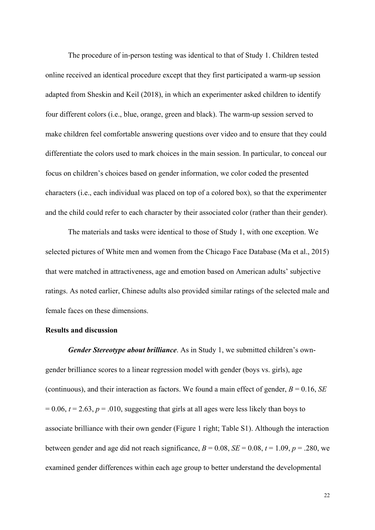The procedure of in-person testing was identical to that of Study 1. Children tested online received an identical procedure except that they first participated a warm-up session adapted from Sheskin and Keil (2018), in which an experimenter asked children to identify four different colors (i.e., blue, orange, green and black). The warm-up session served to make children feel comfortable answering questions over video and to ensure that they could differentiate the colors used to mark choices in the main session. In particular, to conceal our focus on children's choices based on gender information, we color coded the presented characters (i.e., each individual was placed on top of a colored box), so that the experimenter and the child could refer to each character by their associated color (rather than their gender).

The materials and tasks were identical to those of Study 1, with one exception. We selected pictures of White men and women from the Chicago Face Database (Ma et al., 2015) that were matched in attractiveness, age and emotion based on American adults' subjective ratings. As noted earlier, Chinese adults also provided similar ratings of the selected male and female faces on these dimensions.

## **Results and discussion**

*Gender Stereotype about brilliance*. As in Study 1, we submitted children's owngender brilliance scores to a linear regression model with gender (boys vs. girls), age (continuous), and their interaction as factors. We found a main effect of gender,  $B = 0.16$ , *SE*  $= 0.06$ ,  $t = 2.63$ ,  $p = .010$ , suggesting that girls at all ages were less likely than boys to associate brilliance with their own gender (Figure 1 right; Table S1). Although the interaction between gender and age did not reach significance,  $B = 0.08$ ,  $SE = 0.08$ ,  $t = 1.09$ ,  $p = .280$ , we examined gender differences within each age group to better understand the developmental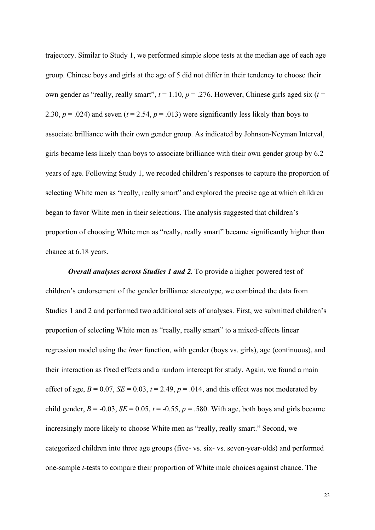trajectory. Similar to Study 1, we performed simple slope tests at the median age of each age group. Chinese boys and girls at the age of 5 did not differ in their tendency to choose their own gender as "really, really smart",  $t = 1.10$ ,  $p = .276$ . However, Chinese girls aged six ( $t =$ 2.30,  $p = .024$ ) and seven ( $t = 2.54$ ,  $p = .013$ ) were significantly less likely than boys to associate brilliance with their own gender group. As indicated by Johnson-Neyman Interval, girls became less likely than boys to associate brilliance with their own gender group by 6.2 years of age. Following Study 1, we recoded children's responses to capture the proportion of selecting White men as "really, really smart" and explored the precise age at which children began to favor White men in their selections. The analysis suggested that children's proportion of choosing White men as "really, really smart" became significantly higher than chance at 6.18 years.

*Overall analyses across Studies 1 and 2.* To provide a higher powered test of children's endorsement of the gender brilliance stereotype, we combined the data from Studies 1 and 2 and performed two additional sets of analyses. First, we submitted children's proportion of selecting White men as "really, really smart" to a mixed-effects linear regression model using the *lmer* function, with gender (boys vs. girls), age (continuous), and their interaction as fixed effects and a random intercept for study. Again, we found a main effect of age,  $B = 0.07$ ,  $SE = 0.03$ ,  $t = 2.49$ ,  $p = .014$ , and this effect was not moderated by child gender,  $B = -0.03$ ,  $SE = 0.05$ ,  $t = -0.55$ ,  $p = .580$ . With age, both boys and girls became increasingly more likely to choose White men as "really, really smart." Second, we categorized children into three age groups (five- vs. six- vs. seven-year-olds) and performed one-sample *t*-tests to compare their proportion of White male choices against chance. The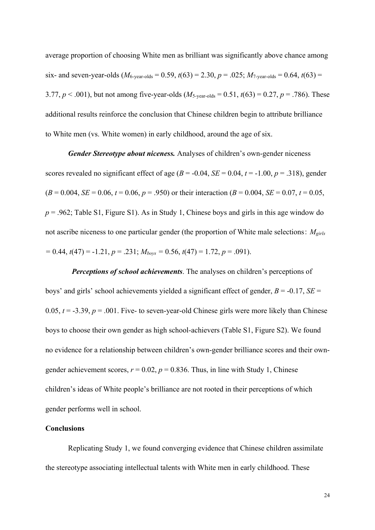average proportion of choosing White men as brilliant was significantly above chance among six- and seven-year-olds  $(M_{6-year-olds} = 0.59, t(63) = 2.30, p = .025; M_{7-year-olds} = 0.64, t(63) =$ 3.77,  $p < .001$ ), but not among five-year-olds ( $M<sub>5</sub>-year-olds$  = 0.51,  $t(63) = 0.27$ ,  $p = .786$ ). These additional results reinforce the conclusion that Chinese children begin to attribute brilliance to White men (vs. White women) in early childhood, around the age of six.

*Gender Stereotype about niceness.* Analyses of children's own-gender niceness scores revealed no significant effect of age ( $B = -0.04$ ,  $SE = 0.04$ ,  $t = -1.00$ ,  $p = .318$ ), gender  $(B = 0.004, SE = 0.06, t = 0.06, p = .950)$  or their interaction  $(B = 0.004, SE = 0.07, t = 0.05,$ *p* = .962; Table S1, Figure S1). As in Study 1, Chinese boys and girls in this age window do not ascribe niceness to one particular gender (the proportion of White male selections:  $M_{\text{circ}}$ *=* 0.44, *t*(47) = -1.21, *p* = .231; *Mboys =* 0.56, *t*(47) = 1.72, *p* = .091).

*Perceptions of school achievements*. The analyses on children's perceptions of boys' and girls' school achievements yielded a significant effect of gender, *B* = -0.17, *SE* = 0.05,  $t = -3.39$ ,  $p = .001$ . Five- to seven-year-old Chinese girls were more likely than Chinese boys to choose their own gender as high school-achievers (Table S1, Figure S2). We found no evidence for a relationship between children's own-gender brilliance scores and their owngender achievement scores,  $r = 0.02$ ,  $p = 0.836$ . Thus, in line with Study 1, Chinese children's ideas of White people's brilliance are not rooted in their perceptions of which gender performs well in school.

## **Conclusions**

Replicating Study 1, we found converging evidence that Chinese children assimilate the stereotype associating intellectual talents with White men in early childhood. These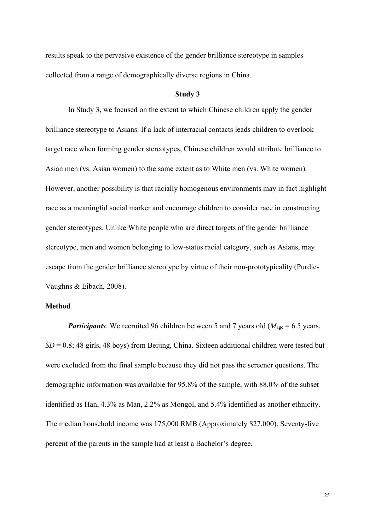results speak to the pervasive existence of the gender brilliance stereotype in samples collected from a range of demographically diverse regions in China.

## **Study 3**

In Study 3, we focused on the extent to which Chinese children apply the gender brilliance stereotype to Asians. If a lack of interracial contacts leads children to overlook target race when forming gender stereotypes, Chinese children would attribute brilliance to Asian men (vs. Asian women) to the same extent as to White men (vs. White women). However, another possibility is that racially homogenous environments may in fact highlight race as a meaningful social marker and encourage children to consider race in constructing gender stereotypes. Unlike White people who are direct targets of the gender brilliance stereotype, men and women belonging to low-status racial category, such as Asians, may escape from the gender brilliance stereotype by virtue of their non-prototypicality (Purdie-Vaughns & Eibach, 2008).

# **Method**

*Participants*. We recruited 96 children between 5 and 7 years old ( $M_{\text{age}} = 6.5$  years, *SD* = 0.8; 48 girls, 48 boys) from Beijing, China. Sixteen additional children were tested but were excluded from the final sample because they did not pass the screener questions. The demographic information was available for 95.8% of the sample, with 88.0% of the subset identified as Han, 4.3% as Man, 2.2% as Mongol, and 5.4% identified as another ethnicity. The median household income was 175,000 RMB (Approximately \$27,000). Seventy-five percent of the parents in the sample had at least a Bachelor's degree.

25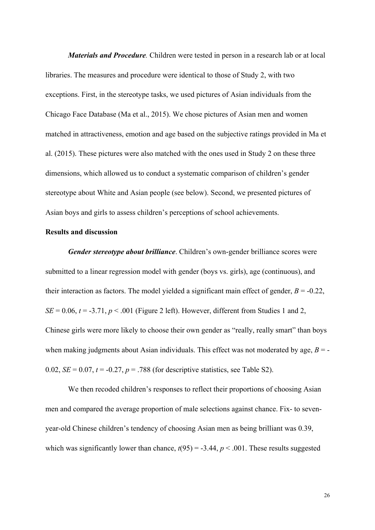*Materials and Procedure.* Children were tested in person in a research lab or at local libraries. The measures and procedure were identical to those of Study 2, with two exceptions. First, in the stereotype tasks, we used pictures of Asian individuals from the Chicago Face Database (Ma et al., 2015). We chose pictures of Asian men and women matched in attractiveness, emotion and age based on the subjective ratings provided in Ma et al. (2015). These pictures were also matched with the ones used in Study 2 on these three dimensions, which allowed us to conduct a systematic comparison of children's gender stereotype about White and Asian people (see below). Second, we presented pictures of Asian boys and girls to assess children's perceptions of school achievements.

## **Results and discussion**

*Gender stereotype about brilliance*. Children's own-gender brilliance scores were submitted to a linear regression model with gender (boys vs. girls), age (continuous), and their interaction as factors. The model yielded a significant main effect of gender,  $B = -0.22$ ,  $SE = 0.06$ ,  $t = -3.71$ ,  $p < .001$  (Figure 2 left). However, different from Studies 1 and 2, Chinese girls were more likely to choose their own gender as "really, really smart" than boys when making judgments about Asian individuals. This effect was not moderated by age,  $B = -$ 0.02,  $SE = 0.07$ ,  $t = -0.27$ ,  $p = .788$  (for descriptive statistics, see Table S2).

We then recoded children's responses to reflect their proportions of choosing Asian men and compared the average proportion of male selections against chance. Fix- to sevenyear-old Chinese children's tendency of choosing Asian men as being brilliant was 0.39, which was significantly lower than chance,  $t(95) = -3.44$ ,  $p < .001$ . These results suggested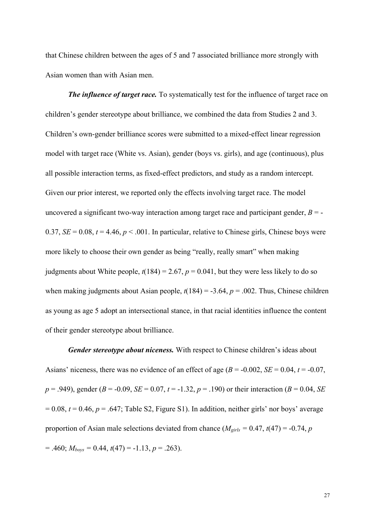that Chinese children between the ages of 5 and 7 associated brilliance more strongly with Asian women than with Asian men.

*The influence of target race.* To systematically test for the influence of target race on children's gender stereotype about brilliance, we combined the data from Studies 2 and 3. Children's own-gender brilliance scores were submitted to a mixed-effect linear regression model with target race (White vs. Asian), gender (boys vs. girls), and age (continuous), plus all possible interaction terms, as fixed-effect predictors, and study as a random intercept. Given our prior interest, we reported only the effects involving target race. The model uncovered a significant two-way interaction among target race and participant gender,  $B = -$ 0.37,  $SE = 0.08$ ,  $t = 4.46$ ,  $p < .001$ . In particular, relative to Chinese girls, Chinese boys were more likely to choose their own gender as being "really, really smart" when making judgments about White people,  $t(184) = 2.67$ ,  $p = 0.041$ , but they were less likely to do so when making judgments about Asian people,  $t(184) = -3.64$ ,  $p = .002$ . Thus, Chinese children as young as age 5 adopt an intersectional stance, in that racial identities influence the content of their gender stereotype about brilliance.

*Gender stereotype about niceness.* With respect to Chinese children's ideas about Asians' niceness, there was no evidence of an effect of age  $(B = -0.002, SE = 0.04, t = -0.07,$  $p = .949$ , gender ( $B = .0.09$ ,  $SE = 0.07$ ,  $t = .1.32$ ,  $p = .190$ ) or their interaction ( $B = 0.04$ , *SE*)  $= 0.08$ ,  $t = 0.46$ ,  $p = .647$ ; Table S2, Figure S1). In addition, neither girls' nor boys' average proportion of Asian male selections deviated from chance  $(M_{\text{girls}} = 0.47, t(47) = -0.74, p$  $= .460; M_{boys} = 0.44, t(47) = -1.13, p = .263$ .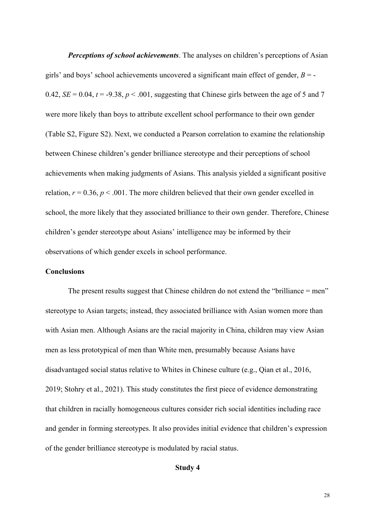*Perceptions of school achievements*. The analyses on children's perceptions of Asian girls' and boys' school achievements uncovered a significant main effect of gender, *B* = - 0.42,  $SE = 0.04$ ,  $t = -9.38$ ,  $p < .001$ , suggesting that Chinese girls between the age of 5 and 7 were more likely than boys to attribute excellent school performance to their own gender (Table S2, Figure S2). Next, we conducted a Pearson correlation to examine the relationship between Chinese children's gender brilliance stereotype and their perceptions of school achievements when making judgments of Asians. This analysis yielded a significant positive relation,  $r = 0.36$ ,  $p < .001$ . The more children believed that their own gender excelled in school, the more likely that they associated brilliance to their own gender. Therefore, Chinese children's gender stereotype about Asians' intelligence may be informed by their observations of which gender excels in school performance.

## **Conclusions**

The present results suggest that Chinese children do not extend the "brilliance = men" stereotype to Asian targets; instead, they associated brilliance with Asian women more than with Asian men. Although Asians are the racial majority in China, children may view Asian men as less prototypical of men than White men, presumably because Asians have disadvantaged social status relative to Whites in Chinese culture (e.g., Qian et al., 2016, 2019; Stohry et al., 2021). This study constitutes the first piece of evidence demonstrating that children in racially homogeneous cultures consider rich social identities including race and gender in forming stereotypes. It also provides initial evidence that children's expression of the gender brilliance stereotype is modulated by racial status.

# **Study 4**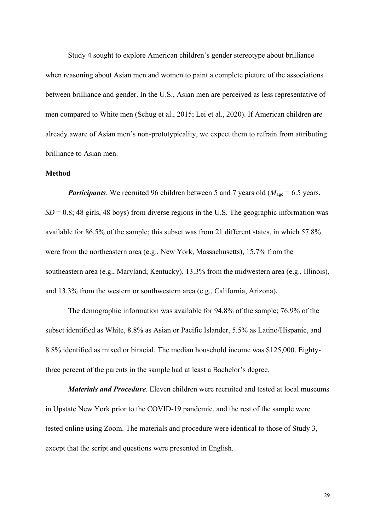Study 4 sought to explore American children's gender stereotype about brilliance when reasoning about Asian men and women to paint a complete picture of the associations between brilliance and gender. In the U.S., Asian men are perceived as less representative of men compared to White men (Schug et al., 2015; Lei et al., 2020). If American children are already aware of Asian men's non-prototypicality, we expect them to refrain from attributing brilliance to Asian men.

## **Method**

*Participants*. We recruited 96 children between 5 and 7 years old ( $M_{\text{age}} = 6.5$  years,  $SD = 0.8$ ; 48 girls, 48 boys) from diverse regions in the U.S. The geographic information was available for 86.5% of the sample; this subset was from 21 different states, in which 57.8% were from the northeastern area (e.g., New York, Massachusetts), 15.7% from the southeastern area (e.g., Maryland, Kentucky), 13.3% from the midwestern area (e.g., Illinois), and 13.3% from the western or southwestern area (e.g., California, Arizona).

The demographic information was available for 94.8% of the sample; 76.9% of the subset identified as White, 8.8% as Asian or Pacific Islander, 5.5% as Latino/Hispanic, and 8.8% identified as mixed or biracial. The median household income was \$125,000. Eightythree percent of the parents in the sample had at least a Bachelor's degree.

*Materials and Procedure.* Eleven children were recruited and tested at local museums in Upstate New York prior to the COVID-19 pandemic, and the rest of the sample were tested online using Zoom. The materials and procedure were identical to those of Study 3, except that the script and questions were presented in English.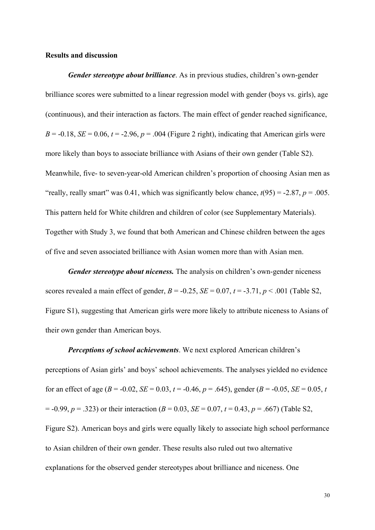# **Results and discussion**

*Gender stereotype about brilliance*. As in previous studies, children's own-gender brilliance scores were submitted to a linear regression model with gender (boys vs. girls), age (continuous), and their interaction as factors. The main effect of gender reached significance,  $B = -0.18$ ,  $SE = 0.06$ ,  $t = -2.96$ ,  $p = .004$  (Figure 2 right), indicating that American girls were more likely than boys to associate brilliance with Asians of their own gender (Table S2). Meanwhile, five- to seven-year-old American children's proportion of choosing Asian men as "really, really smart" was 0.41, which was significantly below chance,  $t(95) = -2.87$ ,  $p = .005$ . This pattern held for White children and children of color (see Supplementary Materials). Together with Study 3, we found that both American and Chinese children between the ages of five and seven associated brilliance with Asian women more than with Asian men.

*Gender stereotype about niceness.* The analysis on children's own-gender niceness scores revealed a main effect of gender,  $B = -0.25$ ,  $SE = 0.07$ ,  $t = -3.71$ ,  $p < .001$  (Table S2, Figure S1), suggesting that American girls were more likely to attribute niceness to Asians of their own gender than American boys.

*Perceptions of school achievements*. We next explored American children's perceptions of Asian girls' and boys' school achievements. The analyses yielded no evidence for an effect of age ( $B = -0.02$ ,  $SE = 0.03$ ,  $t = -0.46$ ,  $p = .645$ ), gender ( $B = -0.05$ ,  $SE = 0.05$ ,  $t = 0.05$  $= -0.99, p = .323$ ) or their interaction (*B* = 0.03, *SE* = 0.07, *t* = 0.43, *p* = .667) (Table S2, Figure S2). American boys and girls were equally likely to associate high school performance to Asian children of their own gender. These results also ruled out two alternative explanations for the observed gender stereotypes about brilliance and niceness. One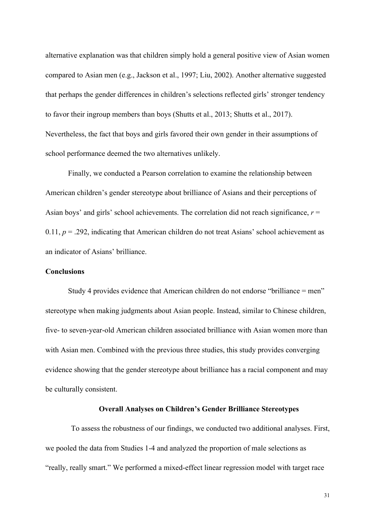alternative explanation was that children simply hold a general positive view of Asian women compared to Asian men (e.g., Jackson et al., 1997; Liu, 2002). Another alternative suggested that perhaps the gender differences in children's selections reflected girls' stronger tendency to favor their ingroup members than boys (Shutts et al., 2013; Shutts et al., 2017). Nevertheless, the fact that boys and girls favored their own gender in their assumptions of school performance deemed the two alternatives unlikely.

Finally, we conducted a Pearson correlation to examine the relationship between American children's gender stereotype about brilliance of Asians and their perceptions of Asian boys' and girls' school achievements. The correlation did not reach significance,  $r =$ 0.11,  $p = 0.292$ , indicating that American children do not treat Asians' school achievement as an indicator of Asians' brilliance.

## **Conclusions**

Study 4 provides evidence that American children do not endorse "brilliance = men" stereotype when making judgments about Asian people. Instead, similar to Chinese children, five- to seven-year-old American children associated brilliance with Asian women more than with Asian men. Combined with the previous three studies, this study provides converging evidence showing that the gender stereotype about brilliance has a racial component and may be culturally consistent.

## **Overall Analyses on Children's Gender Brilliance Stereotypes**

To assess the robustness of our findings, we conducted two additional analyses. First, we pooled the data from Studies 1-4 and analyzed the proportion of male selections as "really, really smart." We performed a mixed-effect linear regression model with target race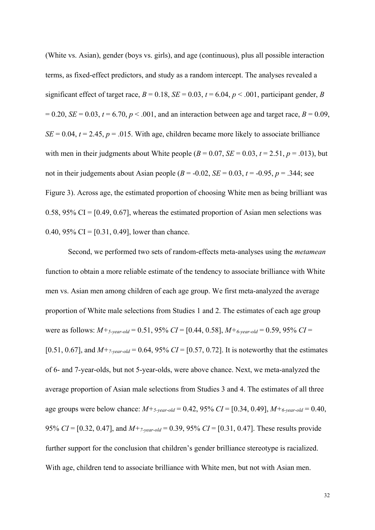(White vs. Asian), gender (boys vs. girls), and age (continuous), plus all possible interaction terms, as fixed-effect predictors, and study as a random intercept. The analyses revealed a significant effect of target race,  $B = 0.18$ ,  $SE = 0.03$ ,  $t = 6.04$ ,  $p < .001$ , participant gender, *B*  $= 0.20, SE = 0.03, t = 6.70, p < .001$ , and an interaction between age and target race,  $B = 0.09$ ,  $SE = 0.04$ ,  $t = 2.45$ ,  $p = .015$ . With age, children became more likely to associate brilliance with men in their judgments about White people  $(B = 0.07, SE = 0.03, t = 2.51, p = .013)$ , but not in their judgements about Asian people  $(B = -0.02, SE = 0.03, t = -0.95, p = .344$ ; see Figure 3). Across age, the estimated proportion of choosing White men as being brilliant was 0.58, 95% CI =  $[0.49, 0.67]$ , whereas the estimated proportion of Asian men selections was 0.40, 95% CI =  $[0.31, 0.49]$ , lower than chance.

Second, we performed two sets of random-effects meta-analyses using the *metamean* function to obtain a more reliable estimate of the tendency to associate brilliance with White men vs. Asian men among children of each age group. We first meta-analyzed the average proportion of White male selections from Studies 1 and 2. The estimates of each age group were as follows: *M+5-year-old* = 0.51, 95% *CI* = [0.44, 0.58], *M+6-year-old* = 0.59, 95% *CI* = [0.51, 0.67], and  $M_{7\text{-}year\text{-}old} = 0.64$ , 95% *CI* = [0.57, 0.72]. It is noteworthy that the estimates of 6- and 7-year-olds, but not 5-year-olds, were above chance. Next, we meta-analyzed the average proportion of Asian male selections from Studies 3 and 4. The estimates of all three age groups were below chance:  $M +_{5\text{-}year\text{-}old} = 0.42$ , 95%  $CI = [0.34, 0.49]$ ,  $M +_{6\text{-}year\text{-}old} = 0.40$ , 95% *CI* = [0.32, 0.47], and *M+7-year-old* = 0.39, 95% *CI* = [0.31, 0.47]. These results provide further support for the conclusion that children's gender brilliance stereotype is racialized. With age, children tend to associate brilliance with White men, but not with Asian men.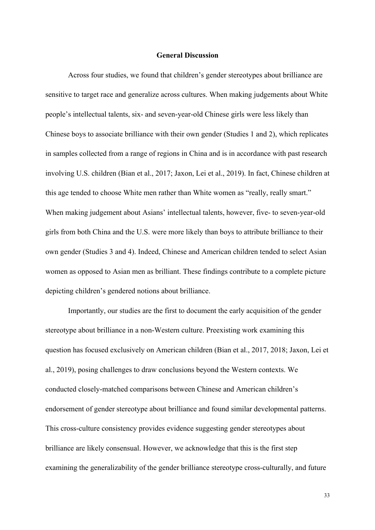## **General Discussion**

Across four studies, we found that children's gender stereotypes about brilliance are sensitive to target race and generalize across cultures. When making judgements about White people's intellectual talents, six- and seven-year-old Chinese girls were less likely than Chinese boys to associate brilliance with their own gender (Studies 1 and 2), which replicates in samples collected from a range of regions in China and is in accordance with past research involving U.S. children (Bian et al., 2017; Jaxon, Lei et al., 2019). In fact, Chinese children at this age tended to choose White men rather than White women as "really, really smart." When making judgement about Asians' intellectual talents, however, five- to seven-year-old girls from both China and the U.S. were more likely than boys to attribute brilliance to their own gender (Studies 3 and 4). Indeed, Chinese and American children tended to select Asian women as opposed to Asian men as brilliant. These findings contribute to a complete picture depicting children's gendered notions about brilliance.

Importantly, our studies are the first to document the early acquisition of the gender stereotype about brilliance in a non-Western culture. Preexisting work examining this question has focused exclusively on American children (Bian et al., 2017, 2018; Jaxon, Lei et al., 2019), posing challenges to draw conclusions beyond the Western contexts. We conducted closely-matched comparisons between Chinese and American children's endorsement of gender stereotype about brilliance and found similar developmental patterns. This cross-culture consistency provides evidence suggesting gender stereotypes about brilliance are likely consensual. However, we acknowledge that this is the first step examining the generalizability of the gender brilliance stereotype cross-culturally, and future

33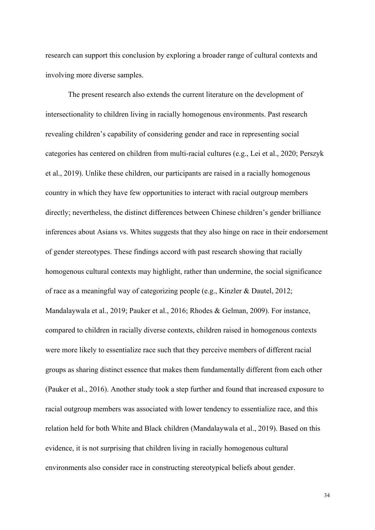research can support this conclusion by exploring a broader range of cultural contexts and involving more diverse samples.

The present research also extends the current literature on the development of intersectionality to children living in racially homogenous environments. Past research revealing children's capability of considering gender and race in representing social categories has centered on children from multi-racial cultures (e.g., Lei et al., 2020; Perszyk et al., 2019). Unlike these children, our participants are raised in a racially homogenous country in which they have few opportunities to interact with racial outgroup members directly; nevertheless, the distinct differences between Chinese children's gender brilliance inferences about Asians vs. Whites suggests that they also hinge on race in their endorsement of gender stereotypes. These findings accord with past research showing that racially homogenous cultural contexts may highlight, rather than undermine, the social significance of race as a meaningful way of categorizing people (e.g., Kinzler & Dautel, 2012; Mandalaywala et al., 2019; Pauker et al., 2016; Rhodes & Gelman, 2009). For instance, compared to children in racially diverse contexts, children raised in homogenous contexts were more likely to essentialize race such that they perceive members of different racial groups as sharing distinct essence that makes them fundamentally different from each other (Pauker et al., 2016). Another study took a step further and found that increased exposure to racial outgroup members was associated with lower tendency to essentialize race, and this relation held for both White and Black children (Mandalaywala et al., 2019). Based on this evidence, it is not surprising that children living in racially homogenous cultural environments also consider race in constructing stereotypical beliefs about gender.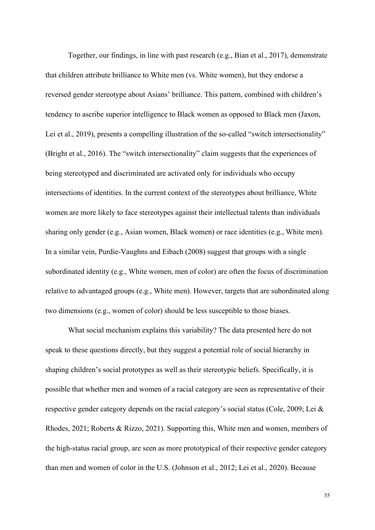Together, our findings, in line with past research (e.g., Bian et al., 2017), demonstrate that children attribute brilliance to White men (vs. White women), but they endorse a reversed gender stereotype about Asians' brilliance. This pattern, combined with children's tendency to ascribe superior intelligence to Black women as opposed to Black men (Jaxon, Lei et al., 2019), presents a compelling illustration of the so-called "switch intersectionality" (Bright et al., 2016). The "switch intersectionality" claim suggests that the experiences of being stereotyped and discriminated are activated only for individuals who occupy intersections of identities. In the current context of the stereotypes about brilliance, White women are more likely to face stereotypes against their intellectual talents than individuals sharing only gender (e.g., Asian women, Black women) or race identities (e.g., White men). In a similar vein, Purdie-Vaughns and Eibach (2008) suggest that groups with a single subordinated identity (e.g., White women, men of color) are often the focus of discrimination relative to advantaged groups (e.g., White men). However, targets that are subordinated along two dimensions (e.g., women of color) should be less susceptible to those biases.

What social mechanism explains this variability? The data presented here do not speak to these questions directly, but they suggest a potential role of social hierarchy in shaping children's social prototypes as well as their stereotypic beliefs. Specifically, it is possible that whether men and women of a racial category are seen as representative of their respective gender category depends on the racial category's social status (Cole, 2009; Lei & Rhodes, 2021; Roberts & Rizzo, 2021). Supporting this, White men and women, members of the high-status racial group, are seen as more prototypical of their respective gender category than men and women of color in the U.S. (Johnson et al., 2012; Lei et al., 2020). Because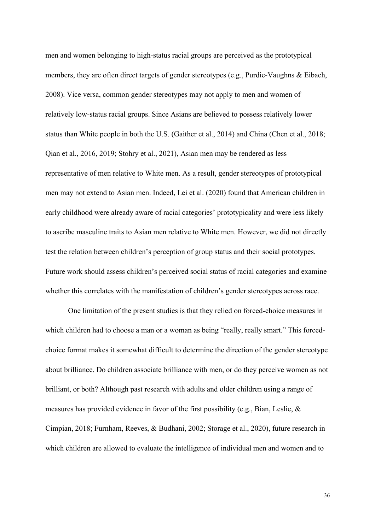men and women belonging to high-status racial groups are perceived as the prototypical members, they are often direct targets of gender stereotypes (e.g., Purdie-Vaughns & Eibach, 2008). Vice versa, common gender stereotypes may not apply to men and women of relatively low-status racial groups. Since Asians are believed to possess relatively lower status than White people in both the U.S. (Gaither et al., 2014) and China (Chen et al., 2018; Qian et al., 2016, 2019; Stohry et al., 2021), Asian men may be rendered as less representative of men relative to White men. As a result, gender stereotypes of prototypical men may not extend to Asian men. Indeed, Lei et al. (2020) found that American children in early childhood were already aware of racial categories' prototypicality and were less likely to ascribe masculine traits to Asian men relative to White men. However, we did not directly test the relation between children's perception of group status and their social prototypes. Future work should assess children's perceived social status of racial categories and examine whether this correlates with the manifestation of children's gender stereotypes across race.

One limitation of the present studies is that they relied on forced-choice measures in which children had to choose a man or a woman as being "really, really smart." This forcedchoice format makes it somewhat difficult to determine the direction of the gender stereotype about brilliance. Do children associate brilliance with men, or do they perceive women as not brilliant, or both? Although past research with adults and older children using a range of measures has provided evidence in favor of the first possibility (e.g., Bian, Leslie, & Cimpian, 2018; Furnham, Reeves, & Budhani, 2002; Storage et al., 2020), future research in which children are allowed to evaluate the intelligence of individual men and women and to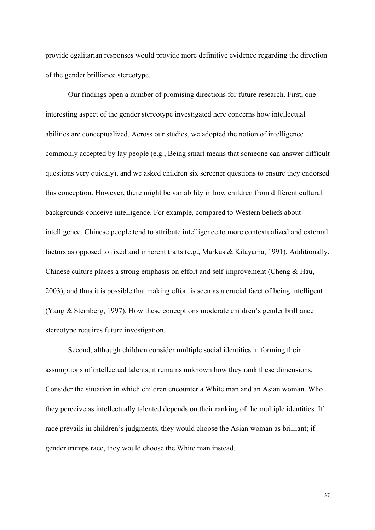provide egalitarian responses would provide more definitive evidence regarding the direction of the gender brilliance stereotype.

Our findings open a number of promising directions for future research. First, one interesting aspect of the gender stereotype investigated here concerns how intellectual abilities are conceptualized. Across our studies, we adopted the notion of intelligence commonly accepted by lay people (e.g., Being smart means that someone can answer difficult questions very quickly), and we asked children six screener questions to ensure they endorsed this conception. However, there might be variability in how children from different cultural backgrounds conceive intelligence. For example, compared to Western beliefs about intelligence, Chinese people tend to attribute intelligence to more contextualized and external factors as opposed to fixed and inherent traits (e.g., Markus & Kitayama, 1991). Additionally, Chinese culture places a strong emphasis on effort and self-improvement (Cheng & Hau, 2003), and thus it is possible that making effort is seen as a crucial facet of being intelligent (Yang & Sternberg, 1997). How these conceptions moderate children's gender brilliance stereotype requires future investigation.

Second, although children consider multiple social identities in forming their assumptions of intellectual talents, it remains unknown how they rank these dimensions. Consider the situation in which children encounter a White man and an Asian woman. Who they perceive as intellectually talented depends on their ranking of the multiple identities. If race prevails in children's judgments, they would choose the Asian woman as brilliant; if gender trumps race, they would choose the White man instead.

37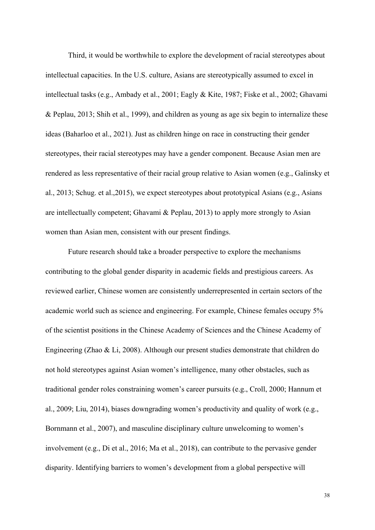Third, it would be worthwhile to explore the development of racial stereotypes about intellectual capacities. In the U.S. culture, Asians are stereotypically assumed to excel in intellectual tasks (e.g., Ambady et al., 2001; Eagly & Kite, 1987; Fiske et al., 2002; Ghavami & Peplau, 2013; Shih et al., 1999), and children as young as age six begin to internalize these ideas (Baharloo et al., 2021). Just as children hinge on race in constructing their gender stereotypes, their racial stereotypes may have a gender component. Because Asian men are rendered as less representative of their racial group relative to Asian women (e.g., Galinsky et al., 2013; Schug. et al.,2015), we expect stereotypes about prototypical Asians (e.g., Asians are intellectually competent; Ghavami & Peplau, 2013) to apply more strongly to Asian women than Asian men, consistent with our present findings.

Future research should take a broader perspective to explore the mechanisms contributing to the global gender disparity in academic fields and prestigious careers. As reviewed earlier, Chinese women are consistently underrepresented in certain sectors of the academic world such as science and engineering. For example, Chinese females occupy 5% of the scientist positions in the Chinese Academy of Sciences and the Chinese Academy of Engineering (Zhao & Li, 2008). Although our present studies demonstrate that children do not hold stereotypes against Asian women's intelligence, many other obstacles, such as traditional gender roles constraining women's career pursuits (e.g., Croll, 2000; Hannum et al., 2009; Liu, 2014), biases downgrading women's productivity and quality of work (e.g., Bornmann et al., 2007), and masculine disciplinary culture unwelcoming to women's involvement (e.g., Di et al., 2016; Ma et al., 2018), can contribute to the pervasive gender disparity. Identifying barriers to women's development from a global perspective will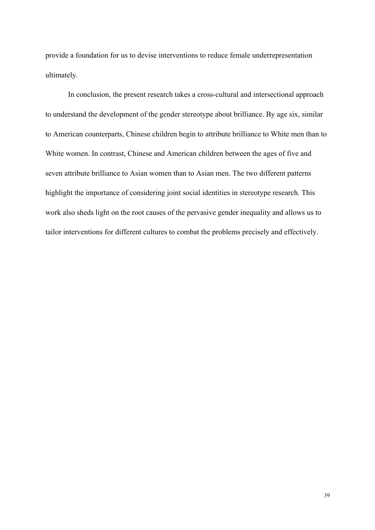provide a foundation for us to devise interventions to reduce female underrepresentation ultimately.

In conclusion, the present research takes a cross-cultural and intersectional approach to understand the development of the gender stereotype about brilliance. By age six, similar to American counterparts, Chinese children begin to attribute brilliance to White men than to White women. In contrast, Chinese and American children between the ages of five and seven attribute brilliance to Asian women than to Asian men. The two different patterns highlight the importance of considering joint social identities in stereotype research. This work also sheds light on the root causes of the pervasive gender inequality and allows us to tailor interventions for different cultures to combat the problems precisely and effectively.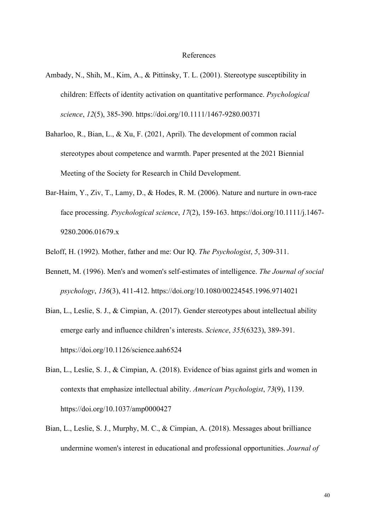#### References

- Ambady, N., Shih, M., Kim, A., & Pittinsky, T. L. (2001). Stereotype susceptibility in children: Effects of identity activation on quantitative performance. *Psychological science*, *12*(5), 385-390. https://doi.org/10.1111/1467-9280.00371
- Baharloo, R., Bian, L., & Xu, F. (2021, April). The development of common racial stereotypes about competence and warmth. Paper presented at the 2021 Biennial Meeting of the Society for Research in Child Development.
- Bar-Haim, Y., Ziv, T., Lamy, D., & Hodes, R. M. (2006). Nature and nurture in own-race face processing. *Psychological science*, *17*(2), 159-163. https://doi.org/10.1111/j.1467- 9280.2006.01679.x

Beloff, H. (1992). Mother, father and me: Our IQ. *The Psychologist*, *5*, 309-311.

- Bennett, M. (1996). Men's and women's self-estimates of intelligence. *The Journal of social psychology*, *136*(3), 411-412. https://doi.org/10.1080/00224545.1996.9714021
- Bian, L., Leslie, S. J., & Cimpian, A. (2017). Gender stereotypes about intellectual ability emerge early and influence children's interests. *Science*, *355*(6323), 389-391. https://doi.org/10.1126/science.aah6524
- Bian, L., Leslie, S. J., & Cimpian, A. (2018). Evidence of bias against girls and women in contexts that emphasize intellectual ability. *American Psychologist*, *73*(9), 1139. https://doi.org/10.1037/amp0000427
- Bian, L., Leslie, S. J., Murphy, M. C., & Cimpian, A. (2018). Messages about brilliance undermine women's interest in educational and professional opportunities. *Journal of*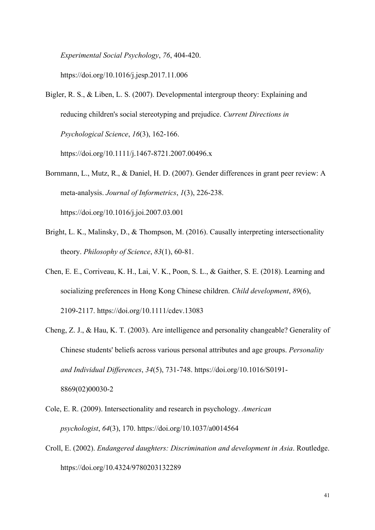*Experimental Social Psychology*, *76*, 404-420.

https://doi.org/10.1016/j.jesp.2017.11.006

Bigler, R. S., & Liben, L. S. (2007). Developmental intergroup theory: Explaining and reducing children's social stereotyping and prejudice. *Current Directions in Psychological Science*, *16*(3), 162-166.

https://doi.org/10.1111/j.1467-8721.2007.00496.x

- Bornmann, L., Mutz, R., & Daniel, H. D. (2007). Gender differences in grant peer review: A meta-analysis. *Journal of Informetrics*, *1*(3), 226-238. https://doi.org/10.1016/j.joi.2007.03.001
- Bright, L. K., Malinsky, D., & Thompson, M. (2016). Causally interpreting intersectionality theory. *Philosophy of Science*, *83*(1), 60-81.
- Chen, E. E., Corriveau, K. H., Lai, V. K., Poon, S. L., & Gaither, S. E. (2018). Learning and socializing preferences in Hong Kong Chinese children. *Child development*, *89*(6), 2109-2117. https://doi.org/10.1111/cdev.13083
- Cheng, Z. J., & Hau, K. T. (2003). Are intelligence and personality changeable? Generality of Chinese students' beliefs across various personal attributes and age groups. *Personality and Individual Differences*, *34*(5), 731-748. https://doi.org/10.1016/S0191- 8869(02)00030-2
- Cole, E. R. (2009). Intersectionality and research in psychology. *American psychologist*, *64*(3), 170. https://doi.org/10.1037/a0014564
- Croll, E. (2002). *Endangered daughters: Discrimination and development in Asia*. Routledge. https://doi.org/10.4324/9780203132289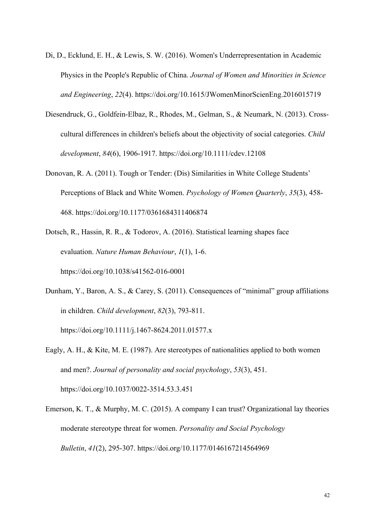- Di, D., Ecklund, E. H., & Lewis, S. W. (2016). Women's Underrepresentation in Academic Physics in the People's Republic of China. *Journal of Women and Minorities in Science and Engineering*, *22*(4). https://doi.org/10.1615/JWomenMinorScienEng.2016015719
- Diesendruck, G., Goldfein‐Elbaz, R., Rhodes, M., Gelman, S., & Neumark, N. (2013). Cross‐ cultural differences in children's beliefs about the objectivity of social categories. *Child development*, *84*(6), 1906-1917. https://doi.org/10.1111/cdev.12108
- Donovan, R. A. (2011). Tough or Tender: (Dis) Similarities in White College Students' Perceptions of Black and White Women. *Psychology of Women Quarterly*, *35*(3), 458- 468. https://doi.org/10.1177/0361684311406874
- Dotsch, R., Hassin, R. R., & Todorov, A. (2016). Statistical learning shapes face evaluation. *Nature Human Behaviour*, *1*(1), 1-6. https://doi.org/10.1038/s41562-016-0001
- Dunham, Y., Baron, A. S., & Carey, S. (2011). Consequences of "minimal" group affiliations in children. *Child development*, *82*(3), 793-811. https://doi.org/10.1111/j.1467-8624.2011.01577.x
- Eagly, A. H., & Kite, M. E. (1987). Are stereotypes of nationalities applied to both women and men?. *Journal of personality and social psychology*, *53*(3), 451. https://doi.org/10.1037/0022-3514.53.3.451
- Emerson, K. T., & Murphy, M. C. (2015). A company I can trust? Organizational lay theories moderate stereotype threat for women. *Personality and Social Psychology Bulletin*, *41*(2), 295-307. https://doi.org/10.1177/0146167214564969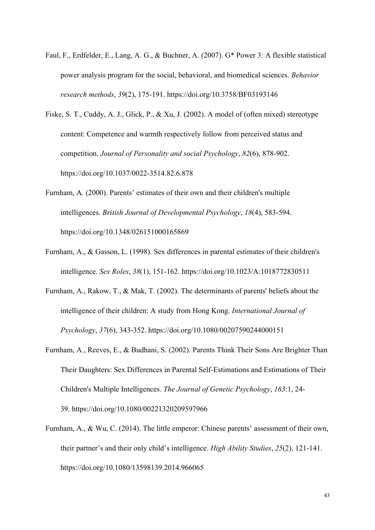- Faul, F., Erdfelder, E., Lang, A. G., & Buchner, A. (2007). G\* Power 3: A flexible statistical power analysis program for the social, behavioral, and biomedical sciences. *Behavior research methods*, *39*(2), 175-191. https://doi.org/10.3758/BF03193146
- Fiske, S. T., Cuddy, A. J., Glick, P., & Xu, J. (2002). A model of (often mixed) stereotype content: Competence and warmth respectively follow from perceived status and competition. *Journal of Personality and social Psychology*, *82*(6), 878-902. https://doi.org/10.1037/0022-3514.82.6.878
- Furnham, A. (2000). Parents' estimates of their own and their children's multiple intelligences. *British Journal of Developmental Psychology*, *18*(4), 583-594. https://doi.org/10.1348/026151000165869
- Furnham, A., & Gasson, L. (1998). Sex differences in parental estimates of their children's intelligence. *Sex Roles*, *38*(1), 151-162. https://doi.org/10.1023/A:1018772830511
- Furnham, A., Rakow, T., & Mak, T. (2002). The determinants of parents' beliefs about the intelligence of their children: A study from Hong Kong. *International Journal of Psychology*, *37*(6), 343-352. https://doi.org/10.1080/00207590244000151
- Furnham, A., Reeves, E., & Budhani, S. (2002). Parents Think Their Sons Are Brighter Than Their Daughters: Sex Differences in Parental Self-Estimations and Estimations of Their Children's Multiple Intelligences. *The Journal of Genetic Psychology*, *163*:1, 24- 39. https://doi.org/10.1080/00221320209597966
- Furnham, A., & Wu, C. (2014). The little emperor: Chinese parents' assessment of their own, their partner's and their only child's intelligence. *High Ability Studies*, *25*(2), 121-141. https://doi.org/10.1080/13598139.2014.966065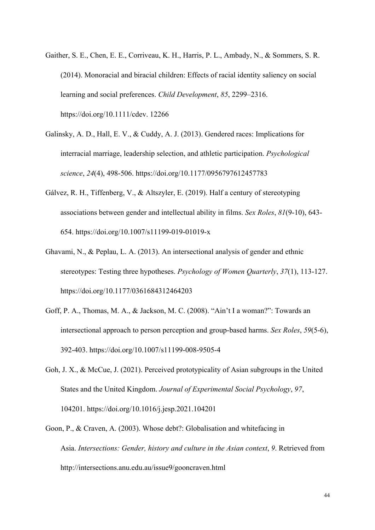- Gaither, S. E., Chen, E. E., Corriveau, K. H., Harris, P. L., Ambady, N., & Sommers, S. R. (2014). Monoracial and biracial children: Effects of racial identity saliency on social learning and social preferences. *Child Development*, *85*, 2299–2316. https://doi.org/10.1111/cdev. 12266
- Galinsky, A. D., Hall, E. V., & Cuddy, A. J. (2013). Gendered races: Implications for interracial marriage, leadership selection, and athletic participation. *Psychological science*, *24*(4), 498-506. https://doi.org/10.1177/0956797612457783
- Gálvez, R. H., Tiffenberg, V., & Altszyler, E. (2019). Half a century of stereotyping associations between gender and intellectual ability in films. *Sex Roles*, *81*(9-10), 643- 654. https://doi.org/10.1007/s11199-019-01019-x
- Ghavami, N., & Peplau, L. A. (2013). An intersectional analysis of gender and ethnic stereotypes: Testing three hypotheses. *Psychology of Women Quarterly*, *37*(1), 113-127. https://doi.org/10.1177/0361684312464203
- Goff, P. A., Thomas, M. A., & Jackson, M. C. (2008). "Ain't I a woman?": Towards an intersectional approach to person perception and group-based harms. *Sex Roles*, *59*(5-6), 392-403. https://doi.org/10.1007/s11199-008-9505-4
- Goh, J. X., & McCue, J. (2021). Perceived prototypicality of Asian subgroups in the United States and the United Kingdom. *Journal of Experimental Social Psychology*, *97*, 104201. https://doi.org/10.1016/j.jesp.2021.104201
- Goon, P., & Craven, A. (2003). Whose debt?: Globalisation and whitefacing in Asia. *Intersections: Gender, history and culture in the Asian context*, *9*. Retrieved from http://intersections.anu.edu.au/issue9/gooncraven.html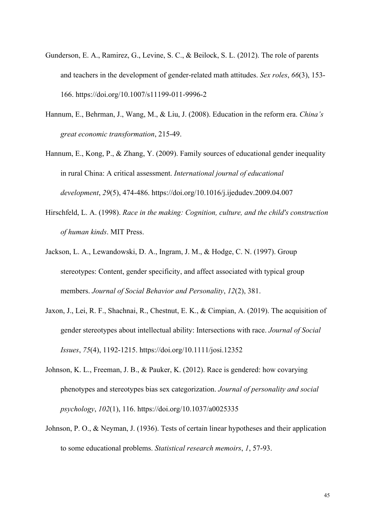- Gunderson, E. A., Ramirez, G., Levine, S. C., & Beilock, S. L. (2012). The role of parents and teachers in the development of gender-related math attitudes. *Sex roles*, *66*(3), 153- 166. https://doi.org/10.1007/s11199-011-9996-2
- Hannum, E., Behrman, J., Wang, M., & Liu, J. (2008). Education in the reform era. *China's great economic transformation*, 215-49.
- Hannum, E., Kong, P., & Zhang, Y. (2009). Family sources of educational gender inequality in rural China: A critical assessment. *International journal of educational development*, *29*(5), 474-486. https://doi.org/10.1016/j.ijedudev.2009.04.007
- Hirschfeld, L. A. (1998). *Race in the making: Cognition, culture, and the child's construction of human kinds*. MIT Press.
- Jackson, L. A., Lewandowski, D. A., Ingram, J. M., & Hodge, C. N. (1997). Group stereotypes: Content, gender specificity, and affect associated with typical group members. *Journal of Social Behavior and Personality*, *12*(2), 381.
- Jaxon, J., Lei, R. F., Shachnai, R., Chestnut, E. K., & Cimpian, A. (2019). The acquisition of gender stereotypes about intellectual ability: Intersections with race. *Journal of Social Issues*, *75*(4), 1192-1215. https://doi.org/10.1111/josi.12352
- Johnson, K. L., Freeman, J. B., & Pauker, K. (2012). Race is gendered: how covarying phenotypes and stereotypes bias sex categorization. *Journal of personality and social psychology*, *102*(1), 116. https://doi.org/10.1037/a0025335
- Johnson, P. O., & Neyman, J. (1936). Tests of certain linear hypotheses and their application to some educational problems. *Statistical research memoirs*, *1*, 57-93.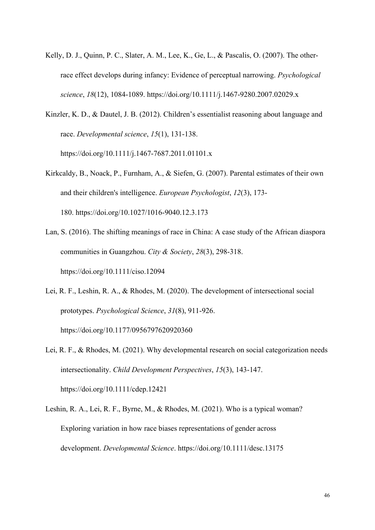- Kelly, D. J., Quinn, P. C., Slater, A. M., Lee, K., Ge, L., & Pascalis, O. (2007). The otherrace effect develops during infancy: Evidence of perceptual narrowing. *Psychological science*, *18*(12), 1084-1089. https://doi.org/10.1111/j.1467-9280.2007.02029.x
- Kinzler, K. D., & Dautel, J. B. (2012). Children's essentialist reasoning about language and race. *Developmental science*, *15*(1), 131-138. https://doi.org/10.1111/j.1467-7687.2011.01101.x
- Kirkcaldy, B., Noack, P., Furnham, A., & Siefen, G. (2007). Parental estimates of their own and their children's intelligence. *European Psychologist*, *12*(3), 173- 180. https://doi.org/10.1027/1016-9040.12.3.173
- Lan, S. (2016). The shifting meanings of race in China: A case study of the African diaspora communities in Guangzhou. *City & Society*, *28*(3), 298-318. https://doi.org/10.1111/ciso.12094
- Lei, R. F., Leshin, R. A., & Rhodes, M. (2020). The development of intersectional social prototypes. *Psychological Science*, *31*(8), 911-926. https://doi.org/10.1177/0956797620920360
- Lei, R. F., & Rhodes, M. (2021). Why developmental research on social categorization needs intersectionality. *Child Development Perspectives*, *15*(3), 143-147. https://doi.org/10.1111/cdep.12421
- Leshin, R. A., Lei, R. F., Byrne, M., & Rhodes, M. (2021). Who is a typical woman? Exploring variation in how race biases representations of gender across development. *Developmental Science*. https://doi.org/10.1111/desc.13175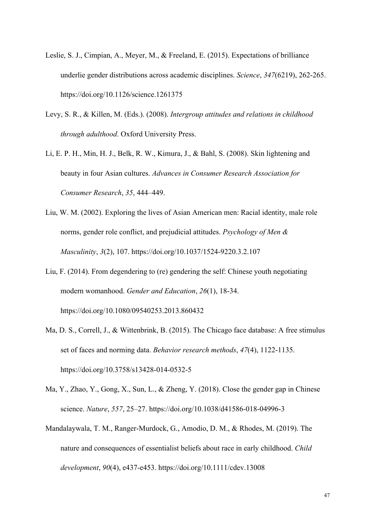- Leslie, S. J., Cimpian, A., Meyer, M., & Freeland, E. (2015). Expectations of brilliance underlie gender distributions across academic disciplines. *Science*, *347*(6219), 262-265. https://doi.org/10.1126/science.1261375
- Levy, S. R., & Killen, M. (Eds.). (2008). *Intergroup attitudes and relations in childhood through adulthood*. Oxford University Press.
- Li, E. P. H., Min, H. J., Belk, R. W., Kimura, J., & Bahl, S. (2008). Skin lightening and beauty in four Asian cultures. *Advances in Consumer Research Association for Consumer Research*, *35*, 444–449.
- Liu, W. M. (2002). Exploring the lives of Asian American men: Racial identity, male role norms, gender role conflict, and prejudicial attitudes. *Psychology of Men & Masculinity*, *3*(2), 107. https://doi.org/10.1037/1524-9220.3.2.107
- Liu, F. (2014). From degendering to (re) gendering the self: Chinese youth negotiating modern womanhood. *Gender and Education*, *26*(1), 18-34. https://doi.org/10.1080/09540253.2013.860432
- Ma, D. S., Correll, J., & Wittenbrink, B. (2015). The Chicago face database: A free stimulus set of faces and norming data. *Behavior research methods*, *47*(4), 1122-1135. https://doi.org/10.3758/s13428-014-0532-5
- Ma, Y., Zhao, Y., Gong, X., Sun, L., & Zheng, Y. (2018). Close the gender gap in Chinese science. *Nature*, *557*, 25–27. https://doi.org/10.1038/d41586-018-04996-3
- Mandalaywala, T. M., Ranger‐Murdock, G., Amodio, D. M., & Rhodes, M. (2019). The nature and consequences of essentialist beliefs about race in early childhood. *Child development*, *90*(4), e437-e453. https://doi.org/10.1111/cdev.13008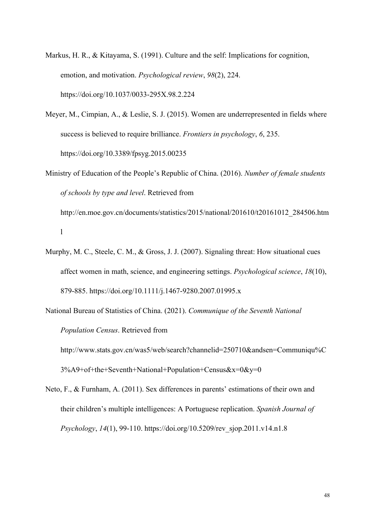- Markus, H. R., & Kitayama, S. (1991). Culture and the self: Implications for cognition, emotion, and motivation. *Psychological review*, *98*(2), 224. https://doi.org/10.1037/0033-295X.98.2.224
- Meyer, M., Cimpian, A., & Leslie, S. J. (2015). Women are underrepresented in fields where success is believed to require brilliance. *Frontiers in psychology*, *6*, 235. https://doi.org/10.3389/fpsyg.2015.00235
- Ministry of Education of the People's Republic of China. (2016). *Number of female students of schools by type and level*. Retrieved from

http://en.moe.gov.cn/documents/statistics/2015/national/201610/t20161012\_284506.htm l

- Murphy, M. C., Steele, C. M., & Gross, J. J. (2007). Signaling threat: How situational cues affect women in math, science, and engineering settings. *Psychological science*, *18*(10), 879-885. https://doi.org/10.1111/j.1467-9280.2007.01995.x
- National Bureau of Statistics of China. (2021). *Communique of the Seventh National Population Census*. Retrieved from

http://www.stats.gov.cn/was5/web/search?channelid=250710&andsen=Communiqu%C 3%A9+of+the+Seventh+National+Population+Census&x=0&y=0

Neto, F., & Furnham, A. (2011). Sex differences in parents' estimations of their own and their children's multiple intelligences: A Portuguese replication. *Spanish Journal of Psychology*, *14*(1), 99-110. https://doi.org/10.5209/rev\_sjop.2011.v14.n1.8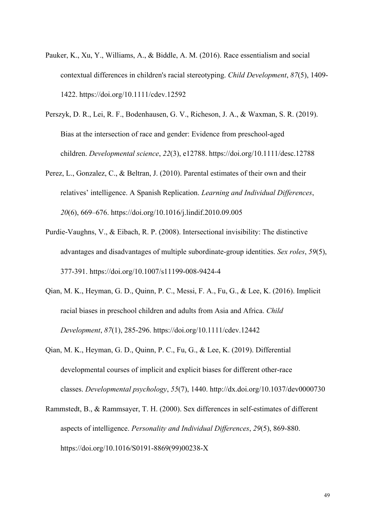- Pauker, K., Xu, Y., Williams, A., & Biddle, A. M. (2016). Race essentialism and social contextual differences in children's racial stereotyping. *Child Development*, *87*(5), 1409- 1422. https://doi.org/10.1111/cdev.12592
- Perszyk, D. R., Lei, R. F., Bodenhausen, G. V., Richeson, J. A., & Waxman, S. R. (2019). Bias at the intersection of race and gender: Evidence from preschool‐aged children. *Developmental science*, *22*(3), e12788. https://doi.org/10.1111/desc.12788
- Perez, L., Gonzalez, C., & Beltran, J. (2010). Parental estimates of their own and their relatives' intelligence. A Spanish Replication. *Learning and Individual Differences*, *20*(6), 669–676. https://doi.org/10.1016/j.lindif.2010.09.005
- Purdie-Vaughns, V., & Eibach, R. P. (2008). Intersectional invisibility: The distinctive advantages and disadvantages of multiple subordinate-group identities. *Sex roles*, *59*(5), 377-391. https://doi.org/10.1007/s11199-008-9424-4
- Qian, M. K., Heyman, G. D., Quinn, P. C., Messi, F. A., Fu, G., & Lee, K. (2016). Implicit racial biases in preschool children and adults from Asia and Africa. *Child Development*, *87*(1), 285-296. https://doi.org/10.1111/cdev.12442
- Qian, M. K., Heyman, G. D., Quinn, P. C., Fu, G., & Lee, K. (2019). Differential developmental courses of implicit and explicit biases for different other-race classes. *Developmental psychology*, *55*(7), 1440. http://dx.doi.org/10.1037/dev0000730
- Rammstedt, B., & Rammsayer, T. H. (2000). Sex differences in self-estimates of different aspects of intelligence. *Personality and Individual Differences*, *29*(5), 869-880. https://doi.org/10.1016/S0191-8869(99)00238-X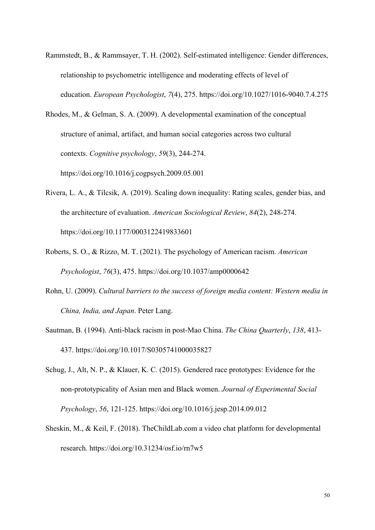Rammstedt, B., & Rammsayer, T. H. (2002). Self-estimated intelligence: Gender differences, relationship to psychometric intelligence and moderating effects of level of education. *European Psychologist*, *7*(4), 275. https://doi.org/10.1027/1016-9040.7.4.275

Rhodes, M., & Gelman, S. A. (2009). A developmental examination of the conceptual structure of animal, artifact, and human social categories across two cultural contexts. *Cognitive psychology*, *59*(3), 244-274. https://doi.org/10.1016/j.cogpsych.2009.05.001

- Rivera, L. A., & Tilcsik, A. (2019). Scaling down inequality: Rating scales, gender bias, and the architecture of evaluation. *American Sociological Review*, *84*(2), 248-274. https://doi.org/10.1177/0003122419833601
- Roberts, S. O., & Rizzo, M. T. (2021). The psychology of American racism. *American Psychologist*, *76*(3), 475. https://doi.org/10.1037/amp0000642
- Rohn, U. (2009). *Cultural barriers to the success of foreign media content: Western media in China, India, and Japan*. Peter Lang.
- Sautman, B. (1994). Anti-black racism in post-Mao China. *The China Quarterly*, *138*, 413- 437. https://doi.org/10.1017/S0305741000035827
- Schug, J., Alt, N. P., & Klauer, K. C. (2015). Gendered race prototypes: Evidence for the non-prototypicality of Asian men and Black women. *Journal of Experimental Social Psychology*, *56*, 121-125. https://doi.org/10.1016/j.jesp.2014.09.012
- Sheskin, M., & Keil, F. (2018). TheChildLab.com a video chat platform for developmental research. https://doi.org/10.31234/osf.io/rn7w5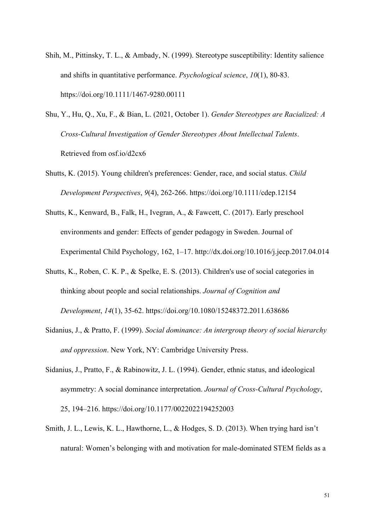- Shih, M., Pittinsky, T. L., & Ambady, N. (1999). Stereotype susceptibility: Identity salience and shifts in quantitative performance. *Psychological science*, *10*(1), 80-83. https://doi.org/10.1111/1467-9280.00111
- Shu, Y., Hu, Q., Xu, F., & Bian, L. (2021, October 1). *Gender Stereotypes are Racialized: A Cross-Cultural Investigation of Gender Stereotypes About Intellectual Talents*. Retrieved from osf.io/d2cx6
- Shutts, K. (2015). Young children's preferences: Gender, race, and social status. *Child Development Perspectives*, *9*(4), 262-266. https://doi.org/10.1111/cdep.12154
- Shutts, K., Kenward, B., Falk, H., Ivegran, A., & Fawcett, C. (2017). Early preschool environments and gender: Effects of gender pedagogy in Sweden. Journal of Experimental Child Psychology, 162, 1–17. http://dx.doi.org/10.1016/j.jecp.2017.04.014
- Shutts, K., Roben, C. K. P., & Spelke, E. S. (2013). Children's use of social categories in thinking about people and social relationships. *Journal of Cognition and Development*, *14*(1), 35-62. https://doi.org/10.1080/15248372.2011.638686
- Sidanius, J., & Pratto, F. (1999). *Social dominance: An intergroup theory of social hierarchy and oppression*. New York, NY: Cambridge University Press.
- Sidanius, J., Pratto, F., & Rabinowitz, J. L. (1994). Gender, ethnic status, and ideological asymmetry: A social dominance interpretation. *Journal of Cross-Cultural Psychology*, 25, 194–216. https://doi.org/10.1177/0022022194252003
- Smith, J. L., Lewis, K. L., Hawthorne, L., & Hodges, S. D. (2013). When trying hard isn't natural: Women's belonging with and motivation for male-dominated STEM fields as a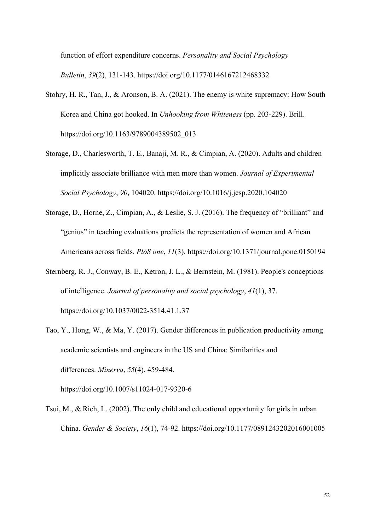function of effort expenditure concerns. *Personality and Social Psychology Bulletin*, *39*(2), 131-143. https://doi.org/10.1177/0146167212468332

- Stohry, H. R., Tan, J., & Aronson, B. A. (2021). The enemy is white supremacy: How South Korea and China got hooked. In *Unhooking from Whiteness* (pp. 203-229). Brill. https://doi.org/10.1163/9789004389502\_013
- Storage, D., Charlesworth, T. E., Banaji, M. R., & Cimpian, A. (2020). Adults and children implicitly associate brilliance with men more than women. *Journal of Experimental Social Psychology*, *90*, 104020. https://doi.org/10.1016/j.jesp.2020.104020
- Storage, D., Horne, Z., Cimpian, A., & Leslie, S. J. (2016). The frequency of "brilliant" and "genius" in teaching evaluations predicts the representation of women and African Americans across fields. *PloS one*, *11*(3). https://doi.org/10.1371/journal.pone.0150194
- Sternberg, R. J., Conway, B. E., Ketron, J. L., & Bernstein, M. (1981). People's conceptions of intelligence. *Journal of personality and social psychology*, *41*(1), 37. https://doi.org/10.1037/0022-3514.41.1.37
- Tao, Y., Hong, W., & Ma, Y. (2017). Gender differences in publication productivity among academic scientists and engineers in the US and China: Similarities and differences. *Minerva*, *55*(4), 459-484.

https://doi.org/10.1007/s11024-017-9320-6

Tsui, M., & Rich, L. (2002). The only child and educational opportunity for girls in urban China. *Gender & Society*, *16*(1), 74-92. https://doi.org/10.1177/0891243202016001005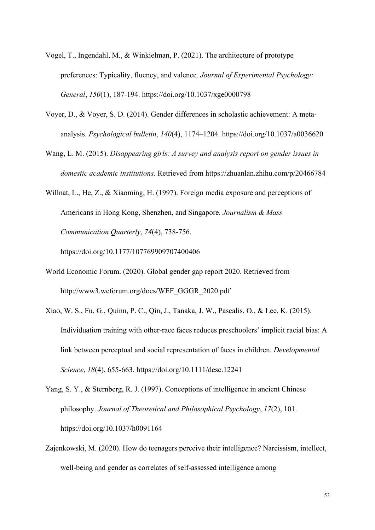- Vogel, T., Ingendahl, M., & Winkielman, P. (2021). The architecture of prototype preferences: Typicality, fluency, and valence. *Journal of Experimental Psychology: General*, *150*(1), 187-194. https://doi.org/10.1037/xge0000798
- Voyer, D., & Voyer, S. D. (2014). Gender differences in scholastic achievement: A metaanalysis. *Psychological bulletin*, *140*(4), 1174–1204. https://doi.org/10.1037/a0036620
- Wang, L. M. (2015). *Disappearing girls: A survey and analysis report on gender issues in domestic academic institutions*. Retrieved from https://zhuanlan.zhihu.com/p/20466784
- Willnat, L., He, Z., & Xiaoming, H. (1997). Foreign media exposure and perceptions of Americans in Hong Kong, Shenzhen, and Singapore. *Journalism & Mass Communication Quarterly*, *74*(4), 738-756.

https://doi.org/10.1177/107769909707400406

- World Economic Forum. (2020). Global gender gap report 2020. Retrieved from http://www3.weforum.org/docs/WEF\_GGGR\_2020.pdf
- Xiao, W. S., Fu, G., Quinn, P. C., Qin, J., Tanaka, J. W., Pascalis, O., & Lee, K. (2015). Individuation training with other-race faces reduces preschoolers' implicit racial bias: A link between perceptual and social representation of faces in children. *Developmental Science*, *18*(4), 655-663. https://doi.org/10.1111/desc.12241

Yang, S. Y., & Sternberg, R. J. (1997). Conceptions of intelligence in ancient Chinese philosophy. *Journal of Theoretical and Philosophical Psychology*, *17*(2), 101. https://doi.org/10.1037/h0091164

Zajenkowski, M. (2020). How do teenagers perceive their intelligence? Narcissism, intellect, well-being and gender as correlates of self-assessed intelligence among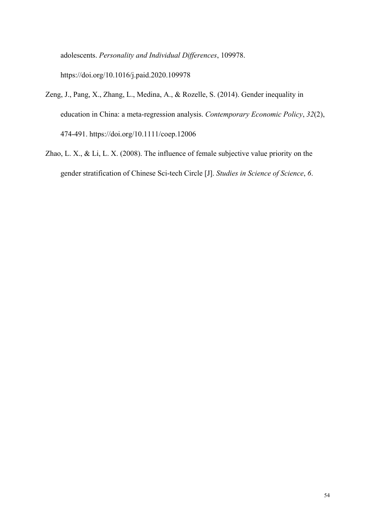adolescents. *Personality and Individual Differences*, 109978. https://doi.org/10.1016/j.paid.2020.109978

- Zeng, J., Pang, X., Zhang, L., Medina, A., & Rozelle, S. (2014). Gender inequality in education in China: a meta‐regression analysis. *Contemporary Economic Policy*, *32*(2), 474-491. https://doi.org/10.1111/coep.12006
- Zhao, L. X., & Li, L. X. (2008). The influence of female subjective value priority on the gender stratification of Chinese Sci-tech Circle [J]. *Studies in Science of Science*, *6*.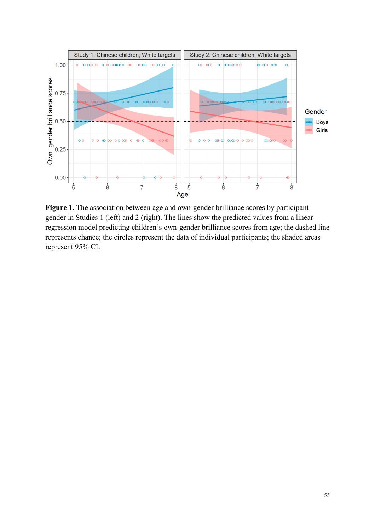

**Figure 1**. The association between age and own-gender brilliance scores by participant gender in Studies 1 (left) and 2 (right). The lines show the predicted values from a linear regression model predicting children's own-gender brilliance scores from age; the dashed line represents chance; the circles represent the data of individual participants; the shaded areas represent 95% CI.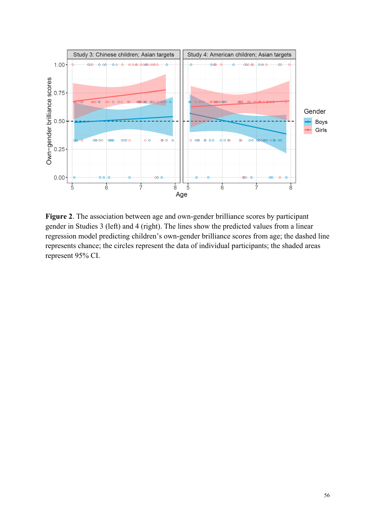

**Figure 2**. The association between age and own-gender brilliance scores by participant gender in Studies 3 (left) and 4 (right). The lines show the predicted values from a linear regression model predicting children's own-gender brilliance scores from age; the dashed line represents chance; the circles represent the data of individual participants; the shaded areas represent 95% CI.